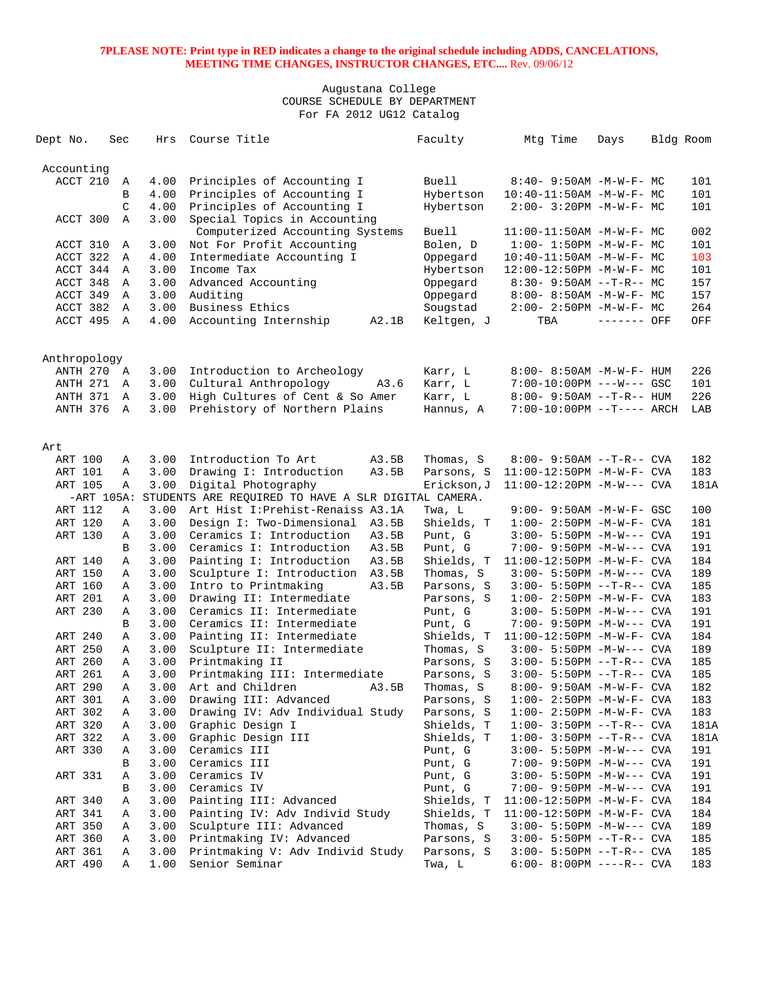| Dept No.     | Sec           | Hrs          | Course Title                                        | Faculty      | Mtg Time                                             | Days        | Bldg Room  |
|--------------|---------------|--------------|-----------------------------------------------------|--------------|------------------------------------------------------|-------------|------------|
| Accounting   |               |              |                                                     |              |                                                      |             |            |
| ACCT 210     | Α             | 4.00         | Principles of Accounting I                          | Buell        | $8:40 - 9:50AM - M - W - F - MC$                     |             | 101        |
|              | B             | 4.00         | Principles of Accounting I                          | Hybertson    | $10:40 - 11:50AM$ -M-W-F- MC                         |             | 101        |
|              | $\mathcal{C}$ | 4.00         | Principles of Accounting I                          | Hybertson    | $2:00-3:20PM -M-W-F-MC$                              |             | 101        |
| ACCT 300     | $\mathbb{A}$  | 3.00         | Special Topics in Accounting                        |              |                                                      |             |            |
|              |               |              | Computerized Accounting Systems                     | <b>Buell</b> | $11:00-11:50AM$ -M-W-F- MC                           |             | 002        |
| ACCT 310     | Α             | 3.00         | Not For Profit Accounting                           | Bolen, D     | $1:00-1:50PM -M-W-F-MC$                              |             | 101        |
| ACCT 322     | $\mathbb A$   | 4.00         | Intermediate Accounting I                           | Oppegard     | $10:40 - 11:50AM$ -M-W-F- MC                         |             | 103        |
| ACCT 344 A   |               | 3.00         | Income Tax                                          | Hybertson    | 12:00-12:50PM -M-W-F- MC                             |             | 101        |
| ACCT 348     | Α             | 3.00         | Advanced Accounting                                 | Oppegard     | $8:30 - 9:50AM -T-R-- MC$                            |             | 157        |
| ACCT 349     | $\mathbb{A}$  | 3.00         | Auditing                                            | Oppegard     | $8:00 - 8:50AM - M - W - F - MC$                     |             | 157        |
| ACCT 382     | A             | 3.00         | Business Ethics                                     | Sougstad     | $2:00-2:50PM -M-W-F-MC$                              |             | 264        |
| ACCT 495 A   |               | 4.00         | Accounting Internship<br>A2.1B                      | Keltgen, J   | TBA                                                  | ------- OFF | OFF        |
|              |               |              |                                                     |              |                                                      |             |            |
| Anthropology |               |              |                                                     |              |                                                      |             |            |
| ANTH 270     | A<br>A        | 3.00         | Introduction to Archeology<br>A3.6                  | Karr, L      | 8:00- 8:50AM -M-W-F- HUM<br>7:00-10:00PM ---W--- GSC |             | 226        |
| ANTH 271     |               | 3.00         | Cultural Anthropology                               | Karr, L      |                                                      |             | 101<br>226 |
| ANTH 371     | A             | 3.00<br>3.00 | High Cultures of Cent & So Amer                     | Karr, L      | $8:00 - 9:50AM -T-R-- HUM$                           |             |            |
| ANTH 376     | $\mathbb{A}$  |              | Prehistory of Northern Plains                       | Hannus, A    | 7:00-10:00PM --T---- ARCH                            |             | LAB        |
| Art          |               |              |                                                     |              |                                                      |             |            |
| ART 100      | Α             | 3.00         | Introduction To Art<br>A3.5B                        | Thomas, S    | $8:00 - 9:50AM -T-R - CVA$                           |             | 182        |
| ART 101      | Α             | 3.00         | Drawing I: Introduction<br>A3.5B                    | Parsons, S   | $11:00-12:50PM -M-W-F-CVA$                           |             | 183        |
| ART 105      | Α             | 3.00         | Digital Photography                                 | Erickson, J  | $11:00-12:20PM -M-W---$ CVA                          |             | 181A       |
|              | $-ART 105A$ : |              | STUDENTS ARE REQUIRED TO HAVE A SLR DIGITAL CAMERA. |              |                                                      |             |            |
| ART 112      | Α             | 3.00         | Art Hist I: Prehist-Renaiss A3.1A                   | Twa, L       | $9:00 - 9:50AM - M - W - F - GSC$                    |             | 100        |
| ART 120      | Α             | 3.00         | Design I: Two-Dimensional<br>A3.5B                  | Shields, T   | $1:00 - 2:50PM -M-W-F - CVA$                         |             | 181        |
| ART 130      | Α             | 3.00         | Ceramics I: Introduction<br>A3.5B                   | Punt, G      | $3:00 - 5:50PM -M-W---$ CVA                          |             | 191        |
|              | B             | 3.00         | Ceramics I: Introduction<br>A3.5B                   | Punt, G      | 7:00- 9:50PM -M-W--- CVA                             |             | 191        |
| ART 140      | Α             | 3.00         | Painting I: Introduction<br>A3.5B                   | Shields, T   | $11:00-12:50PM -M-W-F-CVA$                           |             | 184        |
| ART 150      | Α             | 3.00         | Sculpture I: Introduction<br>A3.5B                  | Thomas, S    | $3:00 - 5:50PM -M-W---$ CVA                          |             | 189        |
| ART 160      | Α             | 3.00         | Intro to Printmaking<br>A3.5B                       | Parsons, S   | $3:00 - 5:50PM -T-R--CVA$                            |             | 185        |
| ART 201      | Α             | 3.00         | Drawing II: Intermediate                            | Parsons, S   | $1:00-2:50PM -M-W-F-CVA$                             |             | 183        |
| ART 230      | Α             | 3.00         | Ceramics II: Intermediate                           | Punt, G      | $3:00 - 5:50PM -M-W---$ CVA                          |             | 191        |
|              | B             | 3.00         | Ceramics II: Intermediate                           | Punt, G      | 7:00- 9:50PM -M-W--- CVA                             |             | 191        |
| ART 240      | Α             | 3.00         | Painting II: Intermediate                           | Shields, T   | 11:00-12:50PM -M-W-F- CVA                            |             | 184        |
| ART 250      | Α             | 3.00         | Sculpture II: Intermediate                          | Thomas, S    | $3:00 - 5:50PM -M-W---$ CVA                          |             | 189        |
| ART 260      | Α             | 3.00         | Printmaking II                                      | Parsons, S   | $3:00 - 5:50PM -T-R-- CVA$                           |             | 185        |
| ART 261      | Α             | 3.00         | Printmaking III: Intermediate                       | Parsons, S   | $3:00 - 5:50PM -T-R--CVA$                            |             | 185        |
| ART 290      | Α             | 3.00         | Art and Children<br>A3.5B                           | Thomas, S    | 8:00- 9:50AM -M-W-F- CVA                             |             | 182        |
| ART 301      | Α             | 3.00         | Drawing III: Advanced                               | Parsons, S   | $1:00-2:50PM -M-W-F-CVA$                             |             | 183        |
| ART 302      | Α             | 3.00         | Drawing IV: Adv Individual Study                    | Parsons, S   | $1:00-2:50PM -M-W-F-CVA$                             |             | 183        |
| ART 320      | Α             | 3.00         | Graphic Design I                                    | Shields, T   | $1:00-3:50PM -T-R--CVA$                              |             | 181A       |
| ART 322      | А             | 3.00         | Graphic Design III                                  | Shields, T   | $1:00-3:50PM -T-R--CVA$                              |             | 181A       |
| ART 330      | Α             | 3.00         | Ceramics III                                        | Punt, G      | $3:00 - 5:50PM -M-W---$ CVA                          |             | 191        |
|              | В             | 3.00         | Ceramics III                                        | Punt, G      | 7:00- 9:50PM -M-W--- CVA                             |             | 191        |
| ART 331      | Α             | 3.00         | Ceramics IV                                         | Punt, G      | $3:00 - 5:50PM -M-W---$ CVA                          |             | 191        |
|              | В             | 3.00         | Ceramics IV                                         | Punt, G      | 7:00- 9:50PM -M-W--- CVA                             |             | 191        |
| ART 340      | Α             | 3.00         | Painting III: Advanced                              | Shields, T   | $11:00-12:50PM -M-W-F-CVA$                           |             | 184        |
| ART 341      | А             | 3.00         | Painting IV: Adv Individ Study                      | Shields, T   | $11:00-12:50PM -M-W-F-CVA$                           |             | 184        |
| ART 350      | А             | 3.00         | Sculpture III: Advanced                             | Thomas, S    | $3:00 - 5:50PM -M-W---$ CVA                          |             | 189        |
| ART 360      | Α             | 3.00         | Printmaking IV: Advanced                            | Parsons, S   | $3:00 - 5:50PM -T-R--CVA$                            |             | 185        |
| ART 361      | Α             | 3.00         | Printmaking V: Adv Individ Study                    | Parsons, S   | $3:00 - 5:50PM -T-R--CVA$                            |             | 185        |
| ART 490      | Α             | 1.00         | Senior Seminar                                      | Twa, L       | $6:00-8:00PM$ ----R-- CVA                            |             | 183        |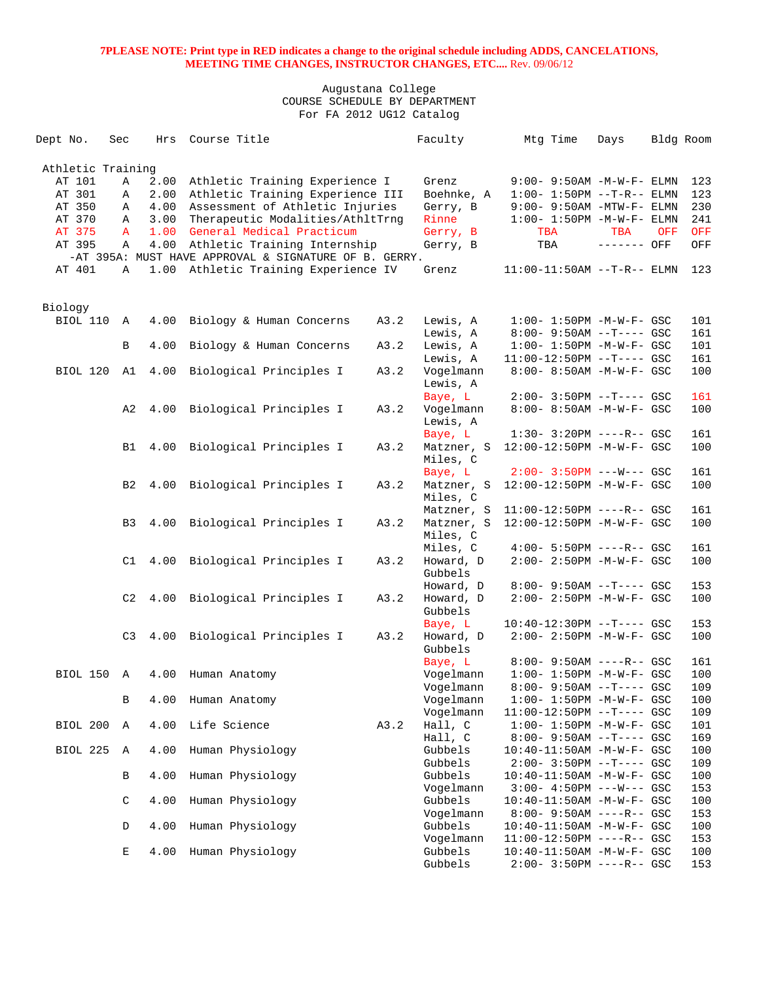| Dept No. |          | Sec               | Hrs  | Course Title                                          |      | Faculty                | Mtg Time                                                      | Days        | Bldg Room |            |
|----------|----------|-------------------|------|-------------------------------------------------------|------|------------------------|---------------------------------------------------------------|-------------|-----------|------------|
|          |          |                   |      |                                                       |      |                        |                                                               |             |           |            |
|          |          | Athletic Training |      |                                                       |      |                        |                                                               |             |           |            |
|          | AT 101   | Α                 | 2.00 | Athletic Training Experience I                        |      | Grenz                  | $9:00 - 9:50AM - M - W - F - ELMN$                            |             |           | 123        |
|          | AT 301   | Α                 | 2.00 | Athletic Training Experience III                      |      | Boehnke, A             | $1:00 - 1:50PM -T-R-- ELMN$                                   |             |           | 123        |
|          | AT 350   | Α                 | 4.00 | Assessment of Athletic Injuries                       |      | Gerry, B               | $9:00-9:50AM - MTW-F-ELMN$                                    |             |           | 230        |
|          | AT 370   | Α                 | 3.00 | Therapeutic Modalities/AthltTrnq                      |      | Rinne                  | $1:00-1:50PM -M-W-F-ELMN$                                     |             |           | 241        |
|          | AT 375   | $\mathbf{A}$      | 1.00 | General Medical Practicum                             |      | Gerry, B               | TBA                                                           | TBA         | OFF       | OFF        |
|          | AT 395   | Α                 | 4.00 | Athletic Training Internship                          |      | Gerry, B               | TBA                                                           | ------- OFF |           | OFF        |
|          |          |                   |      | -AT 395A: MUST HAVE APPROVAL & SIGNATURE OF B. GERRY. |      |                        |                                                               |             |           |            |
|          | AT 401   | Α                 |      | 1.00 Athletic Training Experience IV                  |      | Grenz                  | $11:00-11:50AM$ --T-R-- ELMN                                  |             |           | 123        |
| Biology  |          |                   |      |                                                       |      |                        |                                                               |             |           |            |
|          | BIOL 110 | $\mathbb A$       | 4.00 | Biology & Human Concerns                              | A3.2 | Lewis, A               | $1:00 - 1:50PM - M - W - F - GSC$                             |             |           | 101        |
|          |          |                   |      |                                                       |      | Lewis, A               | $8:00 - 9:50AM -T--- GSC$                                     |             |           | 161        |
|          |          | B                 | 4.00 | Biology & Human Concerns                              | A3.2 | Lewis, A               | $1:00 - 1:50PM -M-W-F - GSC$                                  |             |           | 101        |
|          |          |                   |      |                                                       |      | Lewis, A               | $11:00-12:50PM$ --T---- GSC                                   |             |           | 161        |
|          | BIOL 120 | A1                |      | 4.00 Biological Principles I                          | A3.2 | Vogelmann              | 8:00- 8:50AM -M-W-F- GSC                                      |             |           | 100        |
|          |          |                   |      |                                                       |      | Lewis, A               |                                                               |             |           |            |
|          |          |                   |      |                                                       |      | Baye, L                | $2:00-3:50PM$ --T---- GSC                                     |             |           | 161        |
|          |          |                   |      | A2 4.00 Biological Principles I                       | A3.2 | Vogelmann              | 8:00- 8:50AM -M-W-F- GSC                                      |             |           | 100        |
|          |          |                   |      |                                                       |      | Lewis, A               |                                                               |             |           |            |
|          |          |                   |      |                                                       |      | Baye, L                | $1:30-3:20PM$ ----R-- GSC                                     |             |           | 161        |
|          |          | B1                |      | 4.00 Biological Principles I                          | A3.2 | Matzner, S             | 12:00-12:50PM -M-W-F- GSC                                     |             |           | 100        |
|          |          |                   |      |                                                       |      | Miles, C               |                                                               |             |           |            |
|          |          |                   |      |                                                       |      | Baye, L                | $2:00 - 3:50PM$ ---W--- GSC                                   |             |           | 161        |
|          |          | B <sub>2</sub>    |      | 4.00 Biological Principles I                          | A3.2 | Matzner, S             | 12:00-12:50PM -M-W-F- GSC                                     |             |           | 100        |
|          |          |                   |      |                                                       |      | Miles, C               |                                                               |             |           |            |
|          |          |                   |      |                                                       |      | Matzner, S             | 11:00-12:50PM ----R-- GSC                                     |             |           | 161        |
|          |          | B <sub>3</sub>    |      | 4.00 Biological Principles I                          | A3.2 | Matzner, S             | 12:00-12:50PM -M-W-F- GSC                                     |             |           | 100        |
|          |          |                   |      |                                                       |      | Miles, C               |                                                               |             |           |            |
|          |          |                   |      |                                                       |      | Miles, C               | $4:00 - 5:50PM$ ----R-- GSC                                   |             |           | 161        |
|          |          | C1                |      | 4.00 Biological Principles I                          | A3.2 | Howard, D              | 2:00- 2:50PM -M-W-F- GSC                                      |             |           | 100        |
|          |          |                   |      |                                                       |      | Gubbels                |                                                               |             |           |            |
|          |          |                   |      |                                                       |      | Howard, D              | $8:00 - 9:50AM -T---$ GSC                                     |             |           | 153        |
|          |          | C2                | 4.00 | Biological Principles I                               | A3.2 | Howard, D              | 2:00- 2:50PM -M-W-F- GSC                                      |             |           | 100        |
|          |          |                   |      |                                                       |      | Gubbels                |                                                               |             |           |            |
|          |          |                   |      |                                                       |      | Baye, L                | $10:40-12:30PM$ --T---- GSC                                   |             |           | 153        |
|          |          | C3                |      | 4.00 Biological Principles I                          | A3.2 | Howard, D              | 2:00- 2:50PM -M-W-F- GSC                                      |             |           | 100        |
|          |          |                   |      |                                                       |      | Gubbels                |                                                               |             |           | 161        |
|          |          |                   |      |                                                       |      | Baye, L                | $8:00 - 9:50AM$ ----R-- GSC                                   |             |           |            |
|          |          | BIOL 150 A        | 4.00 | Human Anatomy                                         |      | Vogelmann<br>Vogelmann | $1:00 - 1:50PM - M - W - F - GSC$<br>8:00- 9:50AM --T---- GSC |             |           | 100<br>109 |
|          |          | В                 | 4.00 | Human Anatomy                                         |      | Vogelmann              | $1:00 - 1:50PM -M-W-F - GSC$                                  |             |           | 100        |
|          |          |                   |      |                                                       |      | Vogelmann              | 11:00-12:50PM --T---- GSC                                     |             |           | 109        |
|          | BIOL 200 | Α                 | 4.00 | Life Science                                          | A3.2 | Hall, C                | $1:00 - 1:50PM - M - W - F - GSC$                             |             |           | 101        |
|          |          |                   |      |                                                       |      | Hall, C                | $8:00 - 9:50AM -T---$ GSC                                     |             |           | 169        |
|          | BIOL 225 | $\mathbb A$       | 4.00 | Human Physiology                                      |      | Gubbels                | $10:40 - 11:50AM$ -M-W-F- GSC                                 |             |           | 100        |
|          |          |                   |      |                                                       |      | Gubbels                | $2:00-3:50PM -T---GSC$                                        |             |           | 109        |
|          |          | В                 | 4.00 | Human Physiology                                      |      | Gubbels                | $10:40 - 11:50AM$ -M-W-F- GSC                                 |             |           | 100        |
|          |          |                   |      |                                                       |      | Vogelmann              | $3:00 - 4:50PM$ ---W--- GSC                                   |             |           | 153        |
|          |          | C                 | 4.00 | Human Physiology                                      |      | Gubbels                | $10:40 - 11:50AM$ -M-W-F- GSC                                 |             |           | 100        |
|          |          |                   |      |                                                       |      | Vogelmann              | $8:00 - 9:50AM$ ----R-- GSC                                   |             |           | 153        |
|          |          | D                 | 4.00 | Human Physiology                                      |      | Gubbels                | 10:40-11:50AM -M-W-F- GSC                                     |             |           | 100        |
|          |          |                   |      |                                                       |      | Vogelmann              | $11:00-12:50PM$ ----R-- GSC                                   |             |           | 153        |
|          |          | Е                 | 4.00 | Human Physiology                                      |      | Gubbels                | $10:40 - 11:50AM$ -M-W-F- GSC                                 |             |           | 100        |
|          |          |                   |      |                                                       |      | Gubbels                | $2:00-3:50PM$ ----R-- GSC                                     |             |           | 153        |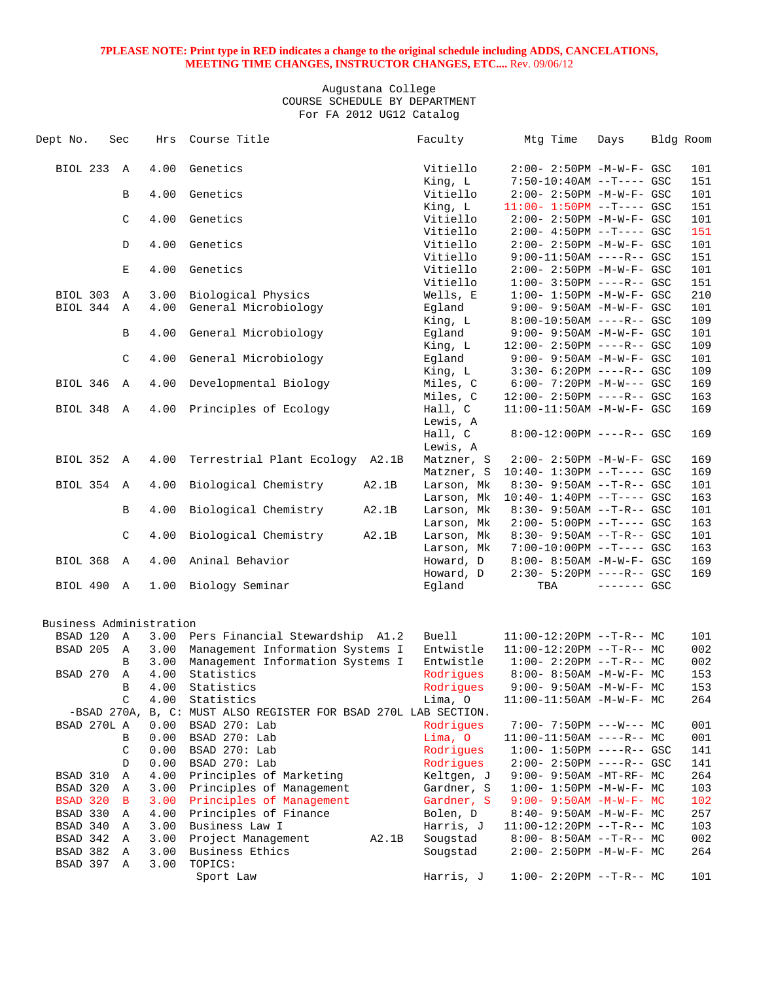| Dept No.                | Sec    | Hrs          | Course Title                                                    |       | Faculty             | Mtg Time                          | Days        | Bldg Room |
|-------------------------|--------|--------------|-----------------------------------------------------------------|-------|---------------------|-----------------------------------|-------------|-----------|
| BIOL 233 A              |        | 4.00         | Genetics                                                        |       | Vitiello            | $2:00 - 2:50PM -M-W-F - GSC$      |             | 101       |
|                         |        |              |                                                                 |       | King, L             | $7:50-10:40AM$ --T---- GSC        |             | 151       |
|                         | B      | 4.00         | Genetics                                                        |       | Vitiello            | $2:00 - 2:50PM - M - W - F - GSC$ |             | 101       |
|                         |        |              |                                                                 |       | King, L             | $11:00 - 1:50PM$ --T---- GSC      |             | 151       |
|                         | C      | 4.00         | Genetics                                                        |       | Vitiello            | $2:00 - 2:50PM -M-W-F - GSC$      |             | 101       |
|                         |        |              |                                                                 |       | Vitiello            | $2:00-4:50PM -T--- GSC$           |             | 151       |
|                         | D      | 4.00         | Genetics                                                        |       | Vitiello            | 2:00- 2:50PM -M-W-F- GSC          |             | 101       |
|                         |        |              |                                                                 |       | Vitiello            | $9:00-11:50AM$ ----R-- GSC        |             | 151       |
|                         | Е      | 4.00         | Genetics                                                        |       | Vitiello            | 2:00- 2:50PM -M-W-F- GSC          |             | 101       |
|                         |        |              |                                                                 |       | Vitiello            | $1:00 - 3:50PM$ ----R-- GSC       |             | 151       |
| BIOL 303 A              |        | 3.00         | Biological Physics                                              |       | Wells, E            | $1:00 - 1:50PM - M - W - F - GSC$ |             | 210       |
| BIOL 344 A              |        | 4.00         | General Microbiology                                            |       | Eqland              | 9:00- 9:50AM -M-W-F- GSC          |             | 101       |
|                         |        |              |                                                                 |       | King, L             | $8:00-10:50AM$ ----R-- GSC        |             | 109       |
|                         | B      | 4.00         | General Microbiology                                            |       | Egland              | $9:00 - 9:50AM - M - W - F - GSC$ |             | 101       |
|                         |        |              |                                                                 |       | King, L             | 12:00- 2:50PM ----R-- GSC         |             | 109       |
|                         | C      | 4.00         | General Microbiology                                            |       | Egland              | $9:00 - 9:50AM - M - W - F - GSC$ |             | 101       |
|                         |        |              |                                                                 |       | King, L             | $3:30 - 6:20PM$ ----R-- GSC       |             | 109       |
| BIOL 346 A              |        | 4.00         | Developmental Biology                                           |       | Miles, C            | $6:00 - 7:20PM -M-W--- GSC$       |             | 169       |
|                         |        |              |                                                                 |       | Miles, C            | $12:00 - 2:50PM$ ----R-- GSC      |             | 163       |
| BIOL 348 A              |        | 4.00         | Principles of Ecology                                           |       | Hall, C             | 11:00-11:50AM -M-W-F- GSC         |             | 169       |
|                         |        |              |                                                                 |       | Lewis, A            |                                   |             |           |
|                         |        |              |                                                                 |       | Hall, C<br>Lewis, A | 8:00-12:00PM ----R-- GSC          |             | 169       |
| BIOL 352 A              |        | 4.00         | Terrestrial Plant Ecology A2.1B                                 |       | Matzner, S          | 2:00- 2:50PM -M-W-F- GSC          |             | 169       |
|                         |        |              |                                                                 |       | Matzner, S          | $10:40 - 1:30PM -T--- GSC$        |             | 169       |
| BIOL 354 A              |        | 4.00         | Biological Chemistry                                            | A2.1B | Larson, Mk          | $8:30 - 9:50AM -T-R--$ GSC        |             | 101       |
|                         |        |              |                                                                 |       | Larson, Mk          | $10:40 - 1:40PM -T--- GSC$        |             | 163       |
|                         | B      | 4.00         | Biological Chemistry                                            | A2.1B | Larson, Mk          | $8:30 - 9:50AM -T-R--$ GSC        |             | 101       |
|                         |        |              |                                                                 |       | Larson, Mk          | $2:00 - 5:00PM -T--- GSC$         |             | 163       |
|                         | C      | 4.00         | Biological Chemistry                                            | A2.1B | Larson, Mk          | $8:30 - 9:50AM -T-R- GSC$         |             | 101       |
|                         |        |              |                                                                 |       | Larson, Mk          | 7:00-10:00PM --T---- GSC          |             | 163       |
| BIOL 368 A              |        | 4.00         | Aninal Behavior                                                 |       | Howard, D           | 8:00- 8:50AM -M-W-F- GSC          |             | 169       |
|                         |        |              |                                                                 |       | Howard, D           | $2:30 - 5:20PM$ ----R-- GSC       |             | 169       |
| BIOL 490 A              |        | 1.00         | Biology Seminar                                                 |       | Eqland              | TBA                               | $-----$ GSC |           |
| Business Administration |        |              |                                                                 |       |                     |                                   |             |           |
| BSAD 120 A              |        | 3.00         | Pers Financial Stewardship A1.2                                 |       | <b>Buell</b>        | $11:00-12:20PM$ --T-R-- MC        |             | 101       |
| BSAD 205                | A      | 3.00         | Management Information Systems I                                |       | Entwistle           | $11:00-12:20PM$ --T-R-- MC        |             | 002       |
|                         | B      | 3.00         | Management Information Systems I                                |       | Entwistle           | $1:00-2:20PM -T-R--MC$            |             | 002       |
| BSAD 270                | Α      | 4.00         | Statistics                                                      |       | Rodrigues           | $8:00 - 8:50AM - M - W - F - MC$  |             | 153       |
|                         | B      | 4.00         | Statistics                                                      |       | Rodriques           | $9:00 - 9:50AM -M-W-F - MC$       |             | 153       |
|                         | C      | 4.00         | Statistics                                                      |       | Lima, O             | $11:00-11:50AM$ -M-W-F- MC        |             | 264       |
|                         |        |              | -BSAD 270A, B, C: MUST ALSO REGISTER FOR BSAD 270L LAB SECTION. |       |                     |                                   |             |           |
| BSAD 270L A             |        | 0.00         | BSAD 270: Lab                                                   |       | Rodrigues           | $7:00-7:50PM$ ---W--- MC          |             | 001       |
|                         | В      | 0.00         | BSAD 270: Lab                                                   |       | Lima, O             | $11:00-11:50AM$ ----R-- MC        |             | 001       |
|                         | C      | 0.00         | BSAD 270: Lab                                                   |       | Rodrigues           | $1:00 - 1:50PM$ ----R-- GSC       |             | 141       |
|                         | D      | 0.00         | BSAD 270: Lab                                                   |       | Rodrigues           | $2:00 - 2:50PM$ ----R-- GSC       |             | 141       |
| BSAD 310                | Α      | 4.00         | Principles of Marketing                                         |       | Keltgen, J          | $9:00 - 9:50AM - MT - RF - MC$    |             | 264       |
| BSAD 320                | Α      | 3.00         | Principles of Management                                        |       | Gardner, S          | $1:00 - 1:50PM - M - W - F - MC$  |             | 103       |
| BSAD 320 B              |        | 3.00         | Principles of Management                                        |       | Gardner, S          | $9:00 - 9:50AM - M - W - F - MC$  |             | 102       |
| BSAD 330                | Α      | 4.00         | Principles of Finance                                           |       | Bolen, D            | $8:40 - 9:50AM - M - W - F - MC$  |             | 257       |
| BSAD 340                | Α      | 3.00         | Business Law I                                                  |       | Harris, J           | $11:00-12:20PM -T-R-- MC$         |             | 103       |
| BSAD 342                | Α<br>Α | 3.00         | Project Management<br>Business Ethics                           | A2.1B | Sougstad            | $8:00-8:50AM -T-R--MC$            |             | 002       |
| BSAD 382<br>BSAD 397    | A      | 3.00<br>3.00 | TOPICS:                                                         |       | Sougstad            | 2:00- 2:50PM -M-W-F- MC           |             | 264       |
|                         |        |              | Sport Law                                                       |       | Harris, J           | $1:00-2:20PM -T-R--MC$            |             | 101       |
|                         |        |              |                                                                 |       |                     |                                   |             |           |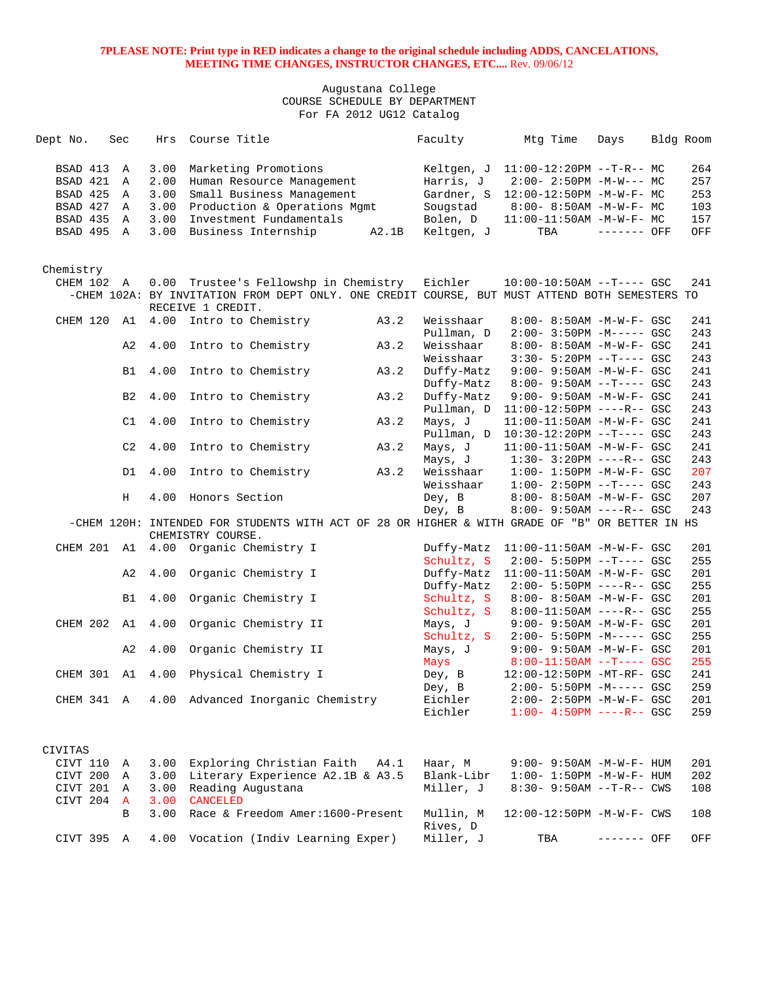| Dept No.    | Sec            | Hrs  | Course Title                                                                                   |       | Faculty    | Mtg Time                             | Days         | Bldg Room |
|-------------|----------------|------|------------------------------------------------------------------------------------------------|-------|------------|--------------------------------------|--------------|-----------|
|             |                |      |                                                                                                |       |            |                                      |              |           |
| BSAD 413 A  |                | 3.00 | Marketing Promotions                                                                           |       | Keltgen, J | $11:00-12:20PM$ --T-R-- MC           |              | 264       |
| BSAD 421    | $\mathbb A$    | 2.00 | Human Resource Management                                                                      |       | Harris, J  | $2:00-2:50PM -M-W--- MC$             |              | 257       |
| BSAD 425    | Α              | 3.00 | Small Business Management                                                                      |       | Gardner, S | 12:00-12:50PM -M-W-F- MC             |              | 253       |
| BSAD 427 A  |                | 3.00 | Production & Operations Mgmt                                                                   |       | Sougstad   | 8:00- 8:50AM -M-W-F- MC              |              | 103       |
| BSAD 435    | $\overline{A}$ | 3.00 | Investment Fundamentals                                                                        |       | Bolen, D   | 11:00-11:50AM -M-W-F- MC             |              | 157       |
| BSAD 495 A  |                | 3.00 | Business Internship                                                                            | A2.1B | Keltgen, J | TBA                                  | $------$ OFF | OFF       |
|             |                |      |                                                                                                |       |            |                                      |              |           |
|             |                |      |                                                                                                |       |            |                                      |              |           |
| Chemistry   |                |      |                                                                                                |       |            |                                      |              |           |
| CHEM 102 A  |                |      | 0.00 Trustee's Fellowshp in Chemistry                                                          |       | Eichler    | $10:00-10:50AM$ --T---- GSC          |              | 241       |
|             |                |      | -CHEM 102A: BY INVITATION FROM DEPT ONLY. ONE CREDIT COURSE, BUT MUST ATTEND BOTH SEMESTERS TO |       |            |                                      |              |           |
|             |                |      | RECEIVE 1 CREDIT.                                                                              |       |            |                                      |              |           |
| CHEM 120    | A1             | 4.00 | Intro to Chemistry                                                                             | A3.2  | Weisshaar  | 8:00- 8:50AM -M-W-F- GSC             |              | 241       |
|             |                |      |                                                                                                |       | Pullman, D | $2:00-3:50PM -M---GSC$               |              | 243       |
|             | A2             | 4.00 | Intro to Chemistry                                                                             | A3.2  | Weisshaar  | 8:00- 8:50AM -M-W-F- GSC             |              | 241       |
|             |                |      |                                                                                                |       | Weisshaar  | $3:30 - 5:20PM -T--- GSC$            |              | 243       |
|             | B1             | 4.00 | Intro to Chemistry                                                                             | A3.2  | Duffy-Matz | $9:00 - 9:50AM - M - W - F - GSC$    |              | 241       |
|             |                |      |                                                                                                |       | Duffy-Matz | $8:00 - 9:50AM -T--- GSC$            |              | 243       |
|             | B <sub>2</sub> | 4.00 | Intro to Chemistry                                                                             | A3.2  | Duffy-Matz | $9:00 - 9:50AM - M - W - F - GSC$    |              | 241       |
|             |                |      |                                                                                                |       | Pullman, D | $11:00-12:50PM$ ----R-- GSC          |              | 243       |
|             | C1             | 4.00 | Intro to Chemistry                                                                             | A3.2  | Mays, J    | 11:00-11:50AM -M-W-F- GSC            |              | 241       |
|             |                |      |                                                                                                |       |            | Pullman, D 10:30-12:20PM --T---- GSC |              | 243       |
|             | C2             | 4.00 | Intro to Chemistry                                                                             | A3.2  | Mays, J    | 11:00-11:50AM -M-W-F- GSC            |              | 241       |
|             |                |      |                                                                                                |       | Mays, J    | $1:30 - 3:20PM$ ----R-- GSC          |              | 243       |
|             | D1             | 4.00 | Intro to Chemistry                                                                             | A3.2  | Weisshaar  | $1:00 - 1:50PM - M - W - F - GSC$    |              | 207       |
|             |                |      |                                                                                                |       | Weisshaar  | $1:00-2:50PM -T---GSC$               |              | 243       |
|             | Н              | 4.00 | Honors Section                                                                                 |       | Dey, B     | 8:00- 8:50AM -M-W-F- GSC             |              | 207       |
|             |                |      |                                                                                                |       | Dey, B     | $8:00 - 9:50AM$ ----R-- GSC          |              | 243       |
|             |                |      | -CHEM 120H: INTENDED FOR STUDENTS WITH ACT OF 28 OR HIGHER & WITH GRADE OF "B" OR BETTER IN HS |       |            |                                      |              |           |
|             |                |      | CHEMISTRY COURSE.                                                                              |       |            |                                      |              |           |
|             |                |      | CHEM 201 A1 4.00 Organic Chemistry I                                                           |       | Duffy-Matz | 11:00-11:50AM -M-W-F- GSC            |              | 201       |
|             |                |      |                                                                                                |       | Schultz, S | $2:00 - 5:50PM -T--- GSC$            |              | 255       |
|             | A2             | 4.00 | Organic Chemistry I                                                                            |       | Duffy-Matz | $11:00-11:50AM$ -M-W-F- GSC          |              | 201       |
|             |                |      |                                                                                                |       | Duffy-Matz | $2:00 - 5:50PM$ ----R-- GSC          |              | 255       |
|             | <b>B1</b>      | 4.00 | Organic Chemistry I                                                                            |       | Schultz, S | 8:00- 8:50AM -M-W-F- GSC             |              | 201       |
|             |                |      |                                                                                                |       | Schultz, S | 8:00-11:50AM ----R-- GSC             |              | 255       |
| CHEM 202 A1 |                | 4.00 | Organic Chemistry II                                                                           |       | Mays, J    | 9:00- 9:50AM -M-W-F- GSC             |              | 201       |
|             |                |      |                                                                                                |       | Schultz, S | $2:00 - 5:50PM -M--- GSC$            |              | 255       |
|             | A2             | 4.00 | Organic Chemistry II                                                                           |       | Mays, J    | $9:00 - 9:50AM - M - W - F - GSC$    |              | 201       |
|             |                |      |                                                                                                |       | Mays       | $8:00-11:50AM$ --T---- GSC           |              | 255       |
|             |                |      | CHEM 301 A1 4.00 Physical Chemistry I                                                          |       | Dey, B     | 12:00-12:50PM -MT-RF- GSC            |              | 241       |
|             |                |      |                                                                                                |       | Dey, B     | 2:00- 5:50PM -M----- GSC             |              | 259       |
| CHEM 341 A  |                |      | 4.00 Advanced Inorganic Chemistry                                                              |       | Eichler    | 2:00- 2:50PM -M-W-F- GSC             |              | 201       |
|             |                |      |                                                                                                |       | Eichler    | $1:00 - 4:50PM$ ----R-- GSC          |              | 259       |
|             |                |      |                                                                                                |       |            |                                      |              |           |
|             |                |      |                                                                                                |       |            |                                      |              |           |
| CIVITAS     |                |      |                                                                                                |       |            |                                      |              |           |
| CIVT 110    | A              | 3.00 | Exploring Christian Faith                                                                      | A4.1  | Haar, M    | $9:00 - 9:50AM - M - W - F - HUM$    |              | 201       |
| CIVT 200 A  |                | 3.00 | Literary Experience A2.1B & A3.5                                                               |       | Blank-Libr | $1:00 - 1:50PM - M - W - F - HUM$    |              | 202       |
| CIVT 201    | A              | 3.00 | Reading Augustana                                                                              |       | Miller, J  | $8:30 - 9:50AM -T-R - CWS$           |              | 108       |
| CIVT 204    | $\mathbf{A}$   | 3.00 | <b>CANCELED</b>                                                                                |       |            |                                      |              |           |
|             | B              | 3.00 | Race & Freedom Amer: 1600-Present                                                              |       | Mullin, M  | 12:00-12:50PM -M-W-F- CWS            |              | 108       |
|             |                |      |                                                                                                |       | Rives, D   |                                      |              |           |
| CIVT 395 A  |                |      | 4.00 Vocation (Indiv Learning Exper)                                                           |       | Miller, J  | TBA                                  | ------- OFF  | OFF       |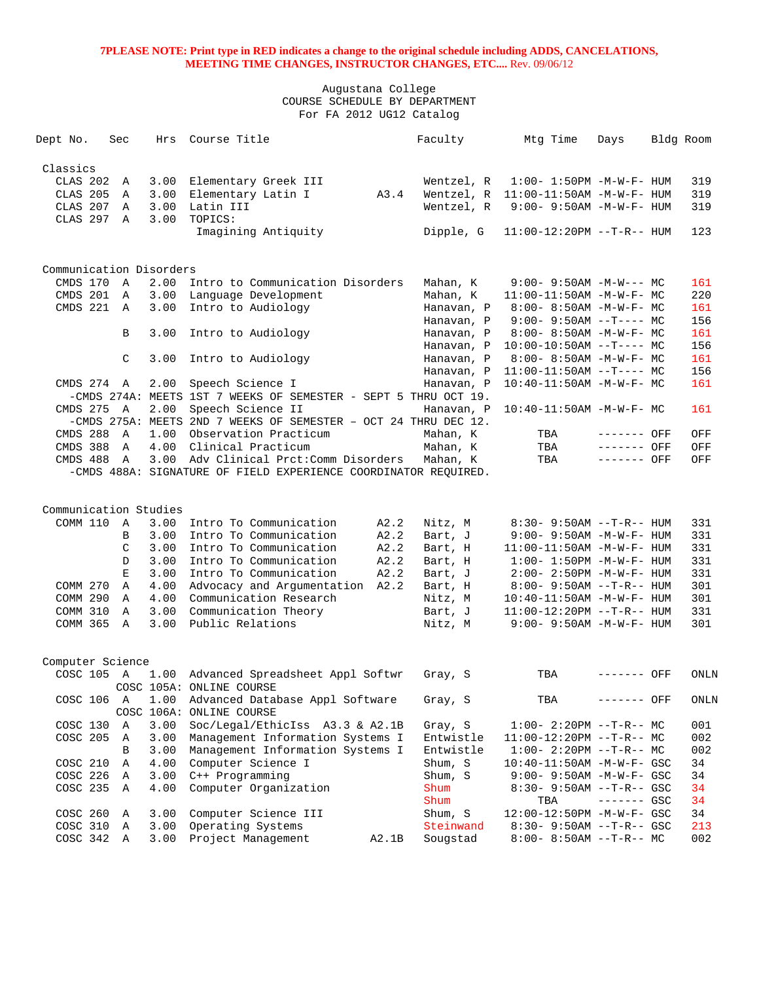| Dept No.                | Sec          | Hrs          | Course Title                                                    |       | Faculty              | Mtg Time                                               | Days        | Bldg Room |             |
|-------------------------|--------------|--------------|-----------------------------------------------------------------|-------|----------------------|--------------------------------------------------------|-------------|-----------|-------------|
| Classics                |              |              |                                                                 |       |                      |                                                        |             |           |             |
| CLAS 202                | A            | 3.00         | Elementary Greek III                                            |       | Wentzel, R           | $1:00 - 1:50PM - M - W - F - HUM$                      |             |           | 319         |
| CLAS 205                | A            | 3.00         | Elementary Latin I                                              | A3.4  |                      | Wentzel, R 11:00-11:50AM -M-W-F- HUM                   |             |           | 319         |
| CLAS 207                | A            | 3.00         | Latin III                                                       |       | Wentzel, R           | $9:00 - 9:50AM - M - W - F - HUM$                      |             |           | 319         |
| CLAS 297                | $\mathbf{A}$ | 3.00         | TOPICS:                                                         |       |                      |                                                        |             |           |             |
|                         |              |              | Imagining Antiquity                                             |       | Dipple, G            | $11:00-12:20PM -T-R--HUM$                              |             |           | 123         |
|                         |              |              |                                                                 |       |                      |                                                        |             |           |             |
| Communication Disorders |              |              |                                                                 |       |                      |                                                        |             |           |             |
| CMDS 170                | A            | 2.00         | Intro to Communication Disorders                                |       | Mahan, K             | $9:00 - 9:50AM - M-W--- MC$                            |             |           | 161         |
| CMDS 201                | A            | 3.00         | Language Development                                            |       | Mahan, K             | 11:00-11:50AM -M-W-F- MC                               |             |           | 220         |
| CMDS 221                | A            | 3.00         | Intro to Audiology                                              |       | Hanavan, P           | $8:00 - 8:50AM - M - W - F - MC$                       |             |           | 161         |
|                         |              |              |                                                                 |       | Hanavan, P           | $9:00 - 9:50AM -T--- MC$                               |             |           | 156         |
|                         | B            | 3.00         | Intro to Audiology                                              |       | Hanavan, P           | 8:00- 8:50AM -M-W-F- MC                                |             |           | 161         |
|                         |              |              |                                                                 |       | Hanavan, P           | $10:00-10:50AM$ --T---- MC                             |             |           | 156         |
|                         | C            | 3.00         | Intro to Audiology                                              |       | Hanavan, P           | $8:00 - 8:50AM$ -M-W-F- MC                             |             |           | 161         |
|                         |              |              |                                                                 |       | Hanavan, P           | $11:00-11:50AM$ --T---- MC                             |             |           | 156         |
| CMDS 274 A              |              | 2.00         | Speech Science I                                                |       | Hanavan, P           | $10:40 - 11:50AM$ -M-W-F- MC                           |             |           | 161         |
|                         |              |              | -CMDS 274A: MEETS 1ST 7 WEEKS OF SEMESTER - SEPT 5 THRU OCT 19. |       |                      |                                                        |             |           |             |
| CMDS 275                | A            | 2.00         | Speech Science II                                               |       | Hanavan, P           | $10:40-11:50AM$ -M-W-F- MC                             |             |           | 161         |
|                         |              |              | -CMDS 275A: MEETS 2ND 7 WEEKS OF SEMESTER - OCT 24 THRU DEC 12. |       |                      |                                                        |             |           |             |
| CMDS 288                | $\mathbb A$  | 1.00         | Observation Practicum                                           |       | Mahan, K             | TBA                                                    | ------- OFF |           | OFF         |
| CMDS 388                | A            | 4.00         | Clinical Practicum                                              |       | Mahan, K             | TBA                                                    | ------- OFF |           | OFF         |
| CMDS 488                | A            | 3.00         | Adv Clinical Prct: Comm Disorders                               |       | Mahan, K             | TBA                                                    | $-----$ OFF |           | OFF         |
|                         |              |              | -CMDS 488A: SIGNATURE OF FIELD EXPERIENCE COORDINATOR REQUIRED. |       |                      |                                                        |             |           |             |
|                         |              |              |                                                                 |       |                      |                                                        |             |           |             |
| Communication Studies   |              |              |                                                                 |       |                      |                                                        |             |           |             |
| COMM 110                | A            | 3.00         | Intro To Communication                                          | A2.2  | Nitz, M              | $8:30 - 9:50AM -T-R-- HUM$                             |             |           | 331         |
|                         | B            | 3.00         | Intro To Communication                                          | A2.2  | Bart, J              | 9:00- 9:50AM -M-W-F- HUM                               |             |           | 331         |
|                         | C            | 3.00         | Intro To Communication                                          | A2.2  | Bart, H              | $11:00-11:50AM$ -M-W-F- HUM                            |             |           | 331         |
|                         | D            | 3.00         | Intro To Communication                                          | A2.2  | Bart, H              | $1:00 - 1:50PM - M - W - F - HUM$                      |             |           | 331         |
|                         | Ε            | 3.00         | Intro To Communication                                          | A2.2  | Bart, J              | 2:00- 2:50PM -M-W-F- HUM                               |             |           | 331         |
| COMM 270                | A            | 4.00         | Advocacy and Argumentation A2.2                                 |       | Bart, H              | $8:00 - 9:50AM -T-R-- HUM$                             |             |           | 301         |
| COMM 290                | Α            | 4.00         | Communication Research                                          |       | Nitz, M              | $10:40 - 11:50AM$ -M-W-F- HUM                          |             |           | 301         |
| <b>COMM 310</b>         | A            | 3.00         | Communication Theory                                            |       | Bart, J              | $11:00-12:20PM -T-R--HUM$                              |             |           | 331         |
| COMM 365                | $\mathbb{A}$ | 3.00         | Public Relations                                                |       | Nitz, M              | $9:00 - 9:50AM - M - W - F - HUM$                      |             |           | 301         |
| Computer Science        |              |              |                                                                 |       |                      |                                                        |             |           |             |
| COSC 105 A              |              |              | 1.00 Advanced Spreadsheet Appl Softwr                           |       | Gray, S              | TBA                                                    | ------- OFF |           | <b>ONLN</b> |
|                         |              |              | COSC 105A: ONLINE COURSE                                        |       |                      |                                                        |             |           |             |
| COSC 106 A              |              | 1.00         | Advanced Database Appl Software                                 |       | Gray, S              | TBA                                                    | ------- OFF |           | ONLN        |
|                         |              |              | COSC 106A: ONLINE COURSE                                        |       |                      |                                                        |             |           |             |
| COSC 130                | Α            | 3.00         | Soc/Legal/EthicIss A3.3 & A2.1B                                 |       | Gray, S              | $1:00-2:20PM -T-R--MC$                                 |             |           | 001         |
| COSC 205                | Α            | 3.00         | Management Information Systems I                                |       | Entwistle            | $11:00-12:20PM$ --T-R-- MC                             |             |           | 002         |
|                         | B            | 3.00         | Management Information Systems I                                |       | Entwistle            | $1:00-2:20PM -T-R--MC$                                 |             |           | 002         |
| COSC 210                | Α            | 4.00         | Computer Science I                                              |       | Shum, S              | 10:40-11:50AM -M-W-F- GSC                              |             |           | 34          |
| COSC 226                | Α            | 3.00         | C++ Programming                                                 |       | Shum, S              | 9:00- 9:50AM -M-W-F- GSC                               |             |           | 34          |
|                         | A            | 4.00         |                                                                 |       | Shum                 |                                                        |             |           | 34          |
| COSC 235                |              |              | Computer Organization                                           |       | Shum                 | $8:30 - 9:50AM -T-R--GSC$                              |             |           | 34          |
|                         |              |              |                                                                 |       |                      | TBA                                                    | $-----$ GSC |           |             |
| COSC 260                | Α            | 3.00<br>3.00 | Computer Science III                                            |       | Shum, S<br>Steinwand | 12:00-12:50PM -M-W-F- GSC                              |             |           | 34<br>213   |
| COSC 310                | A            | 3.00         | Operating Systems<br>Project Management                         |       |                      | $8:30 - 9:50AM -T-R--GSC$<br>$8:00 - 8:50AM -T-R-- MC$ |             |           | 002         |
| COSC 342 A              |              |              |                                                                 | A2.1B | Sougstad             |                                                        |             |           |             |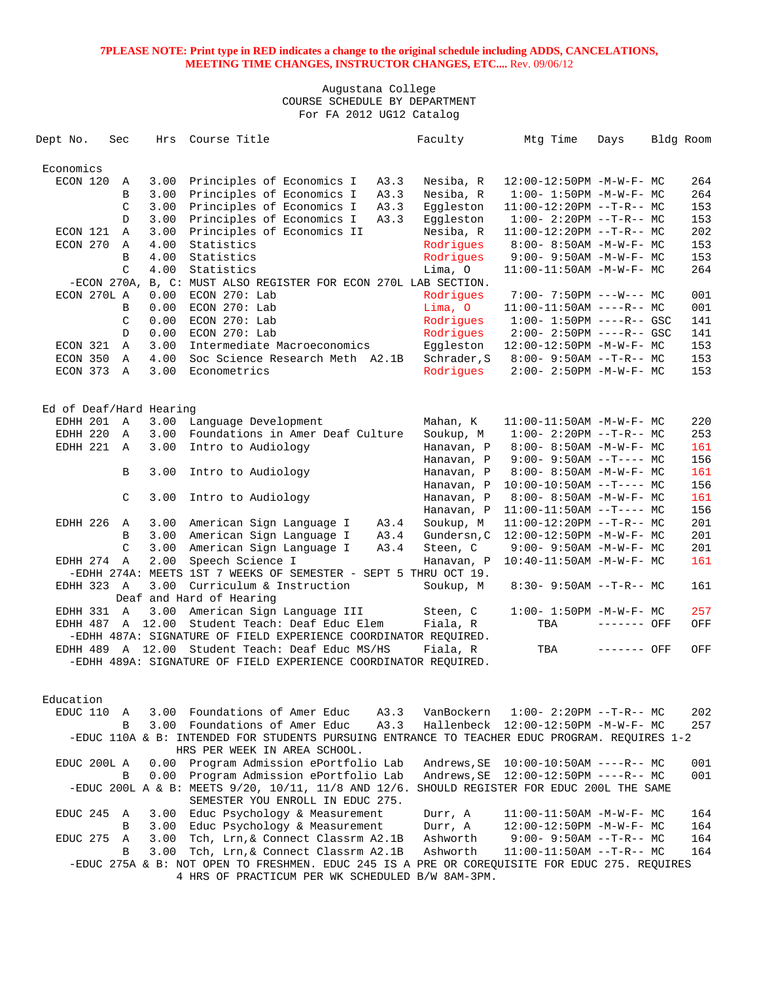| Dept No.                | Sec          |               | Hrs  | Course Title                                                                                                                                      |      | Faculty     | Mtg Time                               | Days        | Bldg Room |     |
|-------------------------|--------------|---------------|------|---------------------------------------------------------------------------------------------------------------------------------------------------|------|-------------|----------------------------------------|-------------|-----------|-----|
|                         |              |               |      |                                                                                                                                                   |      |             |                                        |             |           |     |
| Economics               |              |               |      |                                                                                                                                                   |      |             |                                        |             |           |     |
| ECON 120                |              | Α             | 3.00 | Principles of Economics I                                                                                                                         | A3.3 | Nesiba, R   | 12:00-12:50PM -M-W-F- MC               |             |           | 264 |
|                         |              | B             | 3.00 | Principles of Economics I                                                                                                                         | A3.3 | Nesiba, R   | $1:00 - 1:50PM - M - W - F - MC$       |             |           | 264 |
|                         |              | C             | 3.00 | Principles of Economics I                                                                                                                         | A3.3 | Eqqleston   | $11:00-12:20PM$ --T-R-- MC             |             |           | 153 |
|                         |              | D             | 3.00 | Principles of Economics I                                                                                                                         | A3.3 | Eqqleston   | $1:00-2:20PM --T-R--MC$                |             |           | 153 |
| ECON 121                |              | $\mathbb A$   | 3.00 | Principles of Economics II                                                                                                                        |      | Nesiba, R   | $11:00-12:20PM --T-R-- MC$             |             |           | 202 |
| ECON 270                | A            |               | 4.00 | Statistics                                                                                                                                        |      | Rodrigues   | $8:00 - 8:50AM - M - W - F - MC$       |             |           | 153 |
|                         |              | B             | 4.00 | Statistics                                                                                                                                        |      | Rodrigues   | $9:00 - 9:50AM - M - W - F - MC$       |             |           | 153 |
|                         |              | $\mathcal{C}$ | 4.00 | Statistics                                                                                                                                        |      | Lima, O     | $11:00-11:50AM$ -M-W-F- MC             |             |           | 264 |
|                         |              |               |      | -ECON 270A, B, C: MUST ALSO REGISTER FOR ECON 270L LAB SECTION.                                                                                   |      |             |                                        |             |           |     |
| ECON 270L A             |              |               | 0.00 | $ECON$ 270: Lab                                                                                                                                   |      | Rodrigues   | $7:00 - 7:50PM$ ---W--- MC             |             |           | 001 |
|                         |              | B             | 0.00 | ECON 270: Lab                                                                                                                                     |      | Lima, O     | $11:00-11:50AM$ ----R-- MC             |             |           | 001 |
|                         |              | C             | 0.00 | ECON 270: Lab                                                                                                                                     |      | Rodrigues   | $1:00 - 1:50PM$ ----R-- GSC            |             |           | 141 |
|                         |              | D             | 0.00 | ECON 270: Lab                                                                                                                                     |      | Rodrigues   | $2:00 - 2:50PM$ ----R-- GSC            |             |           | 141 |
| ECON 321                |              | $\mathbb{A}$  | 3.00 | Intermediate Macroeconomics                                                                                                                       |      | Eqqleston   | $12:00-12:50PM -M-W-F-MC$              |             |           | 153 |
| ECON 350                | A            |               | 4.00 | Soc Science Research Meth A2.1B                                                                                                                   |      | Schrader, S | $8:00 - 9:50AM -T-R-- MC$              |             |           | 153 |
| ECON 373 A              |              |               | 3.00 | Econometrics                                                                                                                                      |      | Rodrigues   | $2:00 - 2:50PM -M-W-F - MC$            |             |           | 153 |
|                         |              |               |      |                                                                                                                                                   |      |             |                                        |             |           |     |
|                         |              |               |      |                                                                                                                                                   |      |             |                                        |             |           |     |
| Ed of Deaf/Hard Hearing |              |               |      |                                                                                                                                                   |      |             |                                        |             |           |     |
| EDHH 201                | A            |               | 3.00 | Language Development                                                                                                                              |      | Mahan, K    | $11:00-11:50AM$ -M-W-F- MC             |             |           | 220 |
| EDHH 220                | A            |               | 3.00 | Foundations in Amer Deaf Culture                                                                                                                  |      | Soukup, M   | $1:00-2:20PM -T-R--MC$                 |             |           | 253 |
| EDHH 221                | $\mathbf{A}$ |               | 3.00 | Intro to Audiology                                                                                                                                |      | Hanavan, P  | $8:00 - 8:50AM - M - W - F - MC$       |             |           | 161 |
|                         |              |               |      |                                                                                                                                                   |      | Hanavan, P  | $9:00 - 9:50AM -T--- MC$               |             |           | 156 |
|                         |              | B             | 3.00 | Intro to Audiology                                                                                                                                |      | Hanavan, P  | $8:00-8:50AM$ -M-W-F- MC               |             |           | 161 |
|                         |              |               |      |                                                                                                                                                   |      | Hanavan, P  | $10:00-10:50AM$ --T---- MC             |             |           | 156 |
|                         |              | C             | 3.00 | Intro to Audiology                                                                                                                                |      | Hanavan, P  | $8:00 - 8:50AM - M - W - F - MC$       |             |           | 161 |
|                         |              |               |      |                                                                                                                                                   |      | Hanavan, P  | $11:00-11:50AM$ --T---- MC             |             |           | 156 |
| EDHH 226                |              | A             |      | 3.00 American Sign Language I                                                                                                                     | A3.4 | Soukup, M   | $11:00-12:20PM$ --T-R-- MC             |             |           | 201 |
|                         |              | B             | 3.00 | American Sign Language I                                                                                                                          | A3.4 | Gundersn, C | 12:00-12:50PM -M-W-F- MC               |             |           | 201 |
|                         |              | C             | 3.00 | American Sign Language I                                                                                                                          | A3.4 | Steen, C    | $9:00 - 9:50AM - M - W - F - MC$       |             |           | 201 |
| EDHH 274                | A            |               | 2.00 | Speech Science I                                                                                                                                  |      | Hanavan, P  | $10:40-11:50AM$ -M-W-F- MC             |             |           | 161 |
|                         |              |               |      | -EDHH 274A: MEETS 1ST 7 WEEKS OF SEMESTER - SEPT 5 THRU OCT 19.                                                                                   |      |             |                                        |             |           |     |
| EDHH 323 A              |              |               | 3.00 | Curriculum & Instruction                                                                                                                          |      | Soukup, M   | $8:30 - 9:50AM -T-R-- MC$              |             |           | 161 |
|                         |              |               |      | Deaf and Hard of Hearing                                                                                                                          |      |             |                                        |             |           |     |
| EDHH 331 A              |              |               | 3.00 | American Sign Language III                                                                                                                        |      | Steen, C    | $1:00 - 1:50PM - M - W - F - MC$       |             |           | 257 |
| EDHH 487 A 12.00        |              |               |      | Student Teach: Deaf Educ Elem                                                                                                                     |      | Fiala, R    | TBA                                    | ------- OFF |           | OFF |
|                         |              |               |      | -EDHH 487A: SIGNATURE OF FIELD EXPERIENCE COORDINATOR REQUIRED.                                                                                   |      |             |                                        |             |           |     |
|                         |              |               |      | EDHH 489 A 12.00 Student Teach: Deaf Educ MS/HS                                                                                                   |      | Fiala, R    | TBA                                    | ------- OFF |           | OFF |
|                         |              |               |      | -EDHH 489A: SIGNATURE OF FIELD EXPERIENCE COORDINATOR REQUIRED.                                                                                   |      |             |                                        |             |           |     |
|                         |              |               |      |                                                                                                                                                   |      |             |                                        |             |           |     |
| Education               |              |               |      |                                                                                                                                                   |      |             |                                        |             |           |     |
|                         |              |               |      | 3.00 Foundations of Amer Educ                                                                                                                     |      |             |                                        |             |           |     |
| EDUC 110 A              |              |               |      |                                                                                                                                                   | A3.3 | VanBockern  | $1:00-2:20PM -T-R--MC$                 |             |           | 202 |
|                         |              | B             |      | 3.00 Foundations of Amer Educ                                                                                                                     | A3.3 |             | Hallenbeck 12:00-12:50PM -M-W-F- MC    |             |           | 257 |
|                         |              |               |      | -EDUC 110A & B: INTENDED FOR STUDENTS PURSUING ENTRANCE TO TEACHER EDUC PROGRAM. REQUIRES 1-2<br>HRS PER WEEK IN AREA SCHOOL.                     |      |             |                                        |             |           |     |
| EDUC 200L A             |              |               | 0.00 | Program Admission ePortfolio Lab                                                                                                                  |      | Andrews, SE | $10:00-10:50AM$ ----R-- MC             |             |           | 001 |
|                         |              | B             | 0.00 | Program Admission ePortfolio Lab                                                                                                                  |      | Andrews, SE | 12:00-12:50PM ----R-- MC               |             |           | 001 |
|                         |              |               |      | -EDUC 200L A & B: MEETS $9/20$ , $10/11$ , $11/8$ AND $12/6$ .                                                                                    |      |             | SHOULD REGISTER FOR EDUC 200L THE SAME |             |           |     |
|                         |              |               |      |                                                                                                                                                   |      |             |                                        |             |           |     |
|                         |              |               |      | SEMESTER YOU ENROLL IN EDUC 275.<br>Educ Psychology & Measurement                                                                                 |      |             |                                        |             |           |     |
| EDUC 245                |              | Α             | 3.00 |                                                                                                                                                   |      | Durr, A     | $11:00-11:50AM$ -M-W-F- MC             |             |           | 164 |
|                         |              | В             | 3.00 | Educ Psychology & Measurement                                                                                                                     |      | Durr, A     | 12:00-12:50PM -M-W-F- MC               |             |           | 164 |
| EDUC 275                |              | Α             | 3.00 | Tch, Lrn, & Connect Classrm A2.1B                                                                                                                 |      | Ashworth    | $9:00 - 9:50AM -T-R-- MC$              |             |           | 164 |
|                         |              | B             | 3.00 | Tch, Lrn, & Connect Classrm A2.1B                                                                                                                 |      | Ashworth    | $11:00-11:50AM$ --T-R-- MC             |             |           | 164 |
|                         |              |               |      | -EDUC 275A & B: NOT OPEN TO FRESHMEN. EDUC 245 IS A PRE OR COREQUISITE FOR EDUC 275. REQUIRES<br>4 HRS OF PRACTICUM PER WK SCHEDULED B/W 8AM-3PM. |      |             |                                        |             |           |     |
|                         |              |               |      |                                                                                                                                                   |      |             |                                        |             |           |     |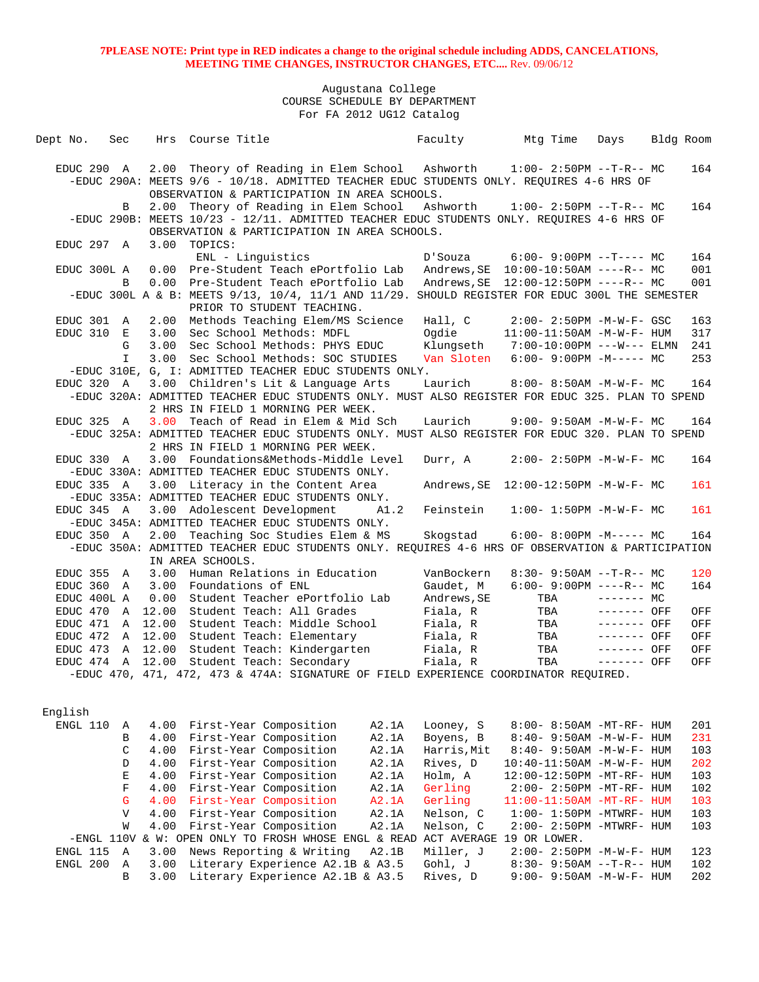| Dept No.                 | Sec                        |              | Hrs Course Title                                                                                                     | Faculty            | Mtg Time                                                    | Days         | Bldg Room  |
|--------------------------|----------------------------|--------------|----------------------------------------------------------------------------------------------------------------------|--------------------|-------------------------------------------------------------|--------------|------------|
|                          |                            |              |                                                                                                                      |                    |                                                             |              |            |
| EDUC 290 A               |                            |              | 2.00 Theory of Reading in Elem School Ashworth                                                                       |                    | $1:00 - 2:50PM -T-R-- MC$                                   |              | 164        |
|                          |                            |              | -EDUC 290A: MEETS 9/6 - 10/18. ADMITTED TEACHER EDUC STUDENTS ONLY. REQUIRES 4-6 HRS OF                              |                    |                                                             |              |            |
|                          |                            |              | OBSERVATION & PARTICIPATION IN AREA SCHOOLS.                                                                         |                    |                                                             |              |            |
|                          | B                          |              | 2.00 Theory of Reading in Elem School                                                                                | Ashworth           | $1:00-2:50PM -T-R--MC$                                      |              | 164        |
|                          |                            |              | -EDUC 290B: MEETS 10/23 - 12/11. ADMITTED TEACHER EDUC STUDENTS ONLY. REQUIRES 4-6 HRS OF                            |                    |                                                             |              |            |
|                          |                            |              | OBSERVATION & PARTICIPATION IN AREA SCHOOLS.                                                                         |                    |                                                             |              |            |
| EDUC 297 A               |                            |              | 3.00 TOPICS:                                                                                                         |                    |                                                             |              |            |
|                          |                            |              | ENL - Linquistics                                                                                                    | D'Souza            | $6:00-9:00PM$ --T---- MC                                    |              | 164        |
| EDUC 300L A              |                            |              | 0.00 Pre-Student Teach ePortfolio Lab                                                                                |                    | Andrews, SE   10:00-10:50AM ----R-- MC                      |              | 001        |
|                          | B                          |              | 0.00 Pre-Student Teach ePortfolio Lab                                                                                |                    |                                                             |              | 001        |
|                          |                            |              | -EDUC 300L A & B: MEETS 9/13, 10/4, 11/1 AND 11/29. SHOULD REGISTER FOR EDUC 300L THE SEMESTER                       |                    |                                                             |              |            |
|                          |                            |              | PRIOR TO STUDENT TEACHING.                                                                                           |                    |                                                             |              |            |
| EDUC 301 A<br>EDUC 310 E |                            |              | 2.00 Methods Teaching Elem/MS Science<br>3.00 Sec School Methods: MDFL                                               | Hall, C<br>Ogdie   | $2:00 - 2:50PM -M-W-F - GSC$<br>$11:00-11:50AM$ -M-W-F- HUM |              | 163<br>317 |
|                          | G                          | 3.00         | Sec School Methods: PHYS EDUC                                                                                        | Klungseth          | 7:00-10:00PM ---W--- ELMN                                   |              | 241        |
|                          | $\mathbf{I}$               | 3.00         | Sec School Methods: SOC STUDIES                                                                                      | Van Sloten         | $6:00-9:00PM -M--- MC$                                      |              | 253        |
|                          |                            |              | -EDUC 310E, G, I: ADMITTED TEACHER EDUC STUDENTS ONLY.                                                               |                    |                                                             |              |            |
| EDUC 320 A               |                            |              | 3.00 Children's Lit & Language Arts                                                                                  | Laurich            | $8:00 - 8:50AM - M - W - F - MC$                            |              | 164        |
|                          |                            |              | -EDUC 320A: ADMITTED TEACHER EDUC STUDENTS ONLY. MUST ALSO REGISTER FOR EDUC 325. PLAN TO SPEND                      |                    |                                                             |              |            |
|                          |                            |              | 2 HRS IN FIELD 1 MORNING PER WEEK.                                                                                   |                    |                                                             |              |            |
| EDUC 325 A               |                            | 3.00         | Teach of Read in Elem & Mid Sch                                                                                      | Laurich            | $9:00 - 9:50AM -M-W-F - MC$                                 |              | 164        |
|                          |                            |              | -EDUC 325A: ADMITTED TEACHER EDUC STUDENTS ONLY. MUST ALSO REGISTER FOR EDUC 320. PLAN TO SPEND                      |                    |                                                             |              |            |
|                          |                            |              | 2 HRS IN FIELD 1 MORNING PER WEEK.                                                                                   |                    |                                                             |              |            |
| EDUC 330 A               |                            |              | 3.00 Foundations&Methods-Middle Level                                                                                | Durr, A            | $2:00 - 2:50PM -M-W-F - MC$                                 |              | 164        |
|                          |                            |              | -EDUC 330A: ADMITTED TEACHER EDUC STUDENTS ONLY.                                                                     |                    |                                                             |              |            |
| EDUC 335 A               |                            |              | 3.00 Literacy in the Content Area                                                                                    |                    |                                                             |              | 161        |
|                          |                            |              | -EDUC 335A: ADMITTED TEACHER EDUC STUDENTS ONLY.                                                                     |                    |                                                             |              |            |
| EDUC 345 A               |                            |              | 3.00 Adolescent Development<br>A1.2                                                                                  | Feinstein          | $1:00 - 1:50PM - M - W - F - MC$                            |              | 161        |
|                          |                            |              | -EDUC 345A: ADMITTED TEACHER EDUC STUDENTS ONLY.                                                                     |                    |                                                             |              |            |
| EDUC 350 A               |                            |              | 2.00 Teaching Soc Studies Elem & MS                                                                                  | Skogstad           | $6:00-8:00PM -M--- MC$                                      |              | 164        |
|                          |                            |              | -EDUC 350A: ADMITTED TEACHER EDUC STUDENTS ONLY. REQUIRES 4-6 HRS OF OBSERVATION & PARTICIPATION<br>IN AREA SCHOOLS. |                    |                                                             |              |            |
| EDUC 355                 | A                          | 3.00         | Human Relations in Education                                                                                         | VanBockern         | $8:30 - 9:50AM -T-R--MC$                                    |              | 120        |
| EDUC 360 A               |                            |              | 3.00 Foundations of ENL                                                                                              | Gaudet, M          | $6:00 - 9:00PM$ ----R-- MC                                  |              | 164        |
| EDUC 400L A              |                            | 0.00         | Student Teacher ePortfolio Lab                                                                                       | Andrews, SE        | TBA                                                         | $------$ MC  |            |
| EDUC 470 A               |                            | 12.00        | Student Teach: All Grades                                                                                            | Fiala, R           | TBA                                                         | $-----$ OFF  | OFF        |
| EDUC 471 A               |                            | 12.00        | Student Teach: Middle School                                                                                         | Fiala, R           | TBA                                                         | $------$ OFF | OFF        |
| EDUC 472 A               |                            | 12.00        | Student Teach: Elementary                                                                                            | Fiala, R           | TBA                                                         | ------- OFF  | OFF        |
| EDUC 473 A               |                            | 12.00        | Student Teach: Kindergarten                                                                                          | Fiala, R           | TBA                                                         | $------$ OFF | OFF        |
|                          |                            |              | EDUC 474 A 12.00 Student Teach: Secondary                                                                            | Fiala, R           | TBA                                                         | $------$ OFF | OFF        |
|                          |                            |              | -EDUC 470, 471, 472, 473 & 474A: SIGNATURE OF FIELD EXPERIENCE COORDINATOR REQUIRED.                                 |                    |                                                             |              |            |
|                          |                            |              |                                                                                                                      |                    |                                                             |              |            |
|                          |                            |              |                                                                                                                      |                    |                                                             |              |            |
| English                  |                            |              |                                                                                                                      |                    |                                                             |              |            |
| ENGL 110                 | Α                          | 4.00         | First-Year Composition<br>A2.1A                                                                                      | Looney, S          | 8:00- 8:50AM -MT-RF- HUM                                    |              | 201        |
|                          | B                          | 4.00         | First-Year Composition<br>A2.1A                                                                                      | Boyens, B          | 8:40- 9:50AM -M-W-F- HUM                                    |              | 231        |
|                          | $\mathsf C$                | 4.00         | First-Year Composition<br>A2.1A                                                                                      | Harris, Mit        | 8:40- 9:50AM -M-W-F- HUM                                    |              | 103        |
|                          | D                          | 4.00         | First-Year Composition<br>A2.1A                                                                                      | Rives, D           | 10:40-11:50AM -M-W-F- HUM                                   |              | 202        |
|                          | $\mathbf E$<br>$\mathbf F$ | 4.00         | First-Year Composition<br>A2.1A                                                                                      | Holm, A<br>Gerling | 12:00-12:50PM -MT-RF- HUM                                   |              | 103        |
|                          | G                          | 4.00<br>4.00 | First-Year Composition<br>A2.1A<br>First-Year Composition<br>A2.1A                                                   | Gerling            | 2:00- 2:50PM -MT-RF- HUM<br>11:00-11:50AM -MT-RF- HUM       |              | 102<br>103 |
|                          | $\mathbf{V}$               | 4.00         | First-Year Composition<br>A2.1A                                                                                      | Nelson, C          | $1:00-1:50PM -MTWRF-HUM$                                    |              | 103        |
|                          | W                          | 4.00         | First-Year Composition<br>A2.1A                                                                                      | Nelson, C          | 2:00- 2:50PM -MTWRF- HUM                                    |              | 103        |
|                          |                            |              | -ENGL 110V & W: OPEN ONLY TO FROSH WHOSE ENGL & READ ACT AVERAGE 19 OR LOWER.                                        |                    |                                                             |              |            |
| ENGL 115                 | Α                          | 3.00         | News Reporting & Writing<br>A2.1B                                                                                    | Miller, J          | $2:00 - 2:50PM -M-W-F - HUM$                                |              | 123        |
| ENGL 200                 | Α                          | 3.00         | Literary Experience A2.1B & A3.5                                                                                     | Gohl, J            | $8:30 - 9:50AM -T-R-- HUM$                                  |              | 102        |
|                          | B                          | 3.00         | Literary Experience A2.1B & A3.5                                                                                     | Rives, D           | 9:00- 9:50AM -M-W-F- HUM                                    |              | 202        |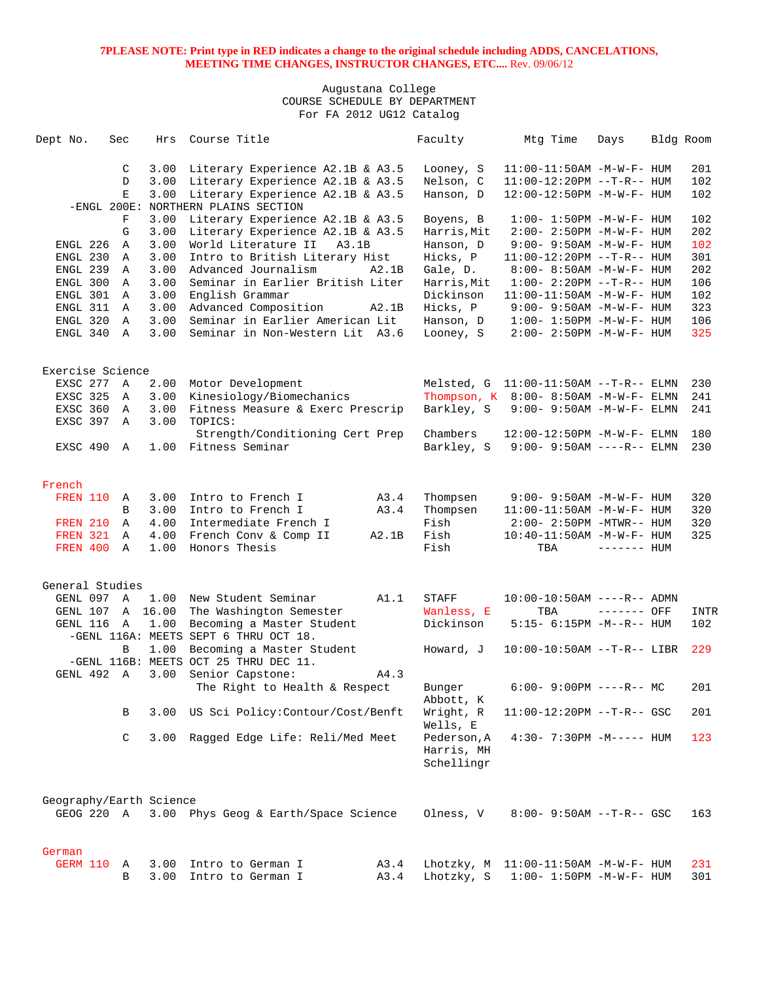| Dept No. |                         | Sec            | Hrs          | Course Title                                | Faculty     | Mtg Time                                  | Days         | Bldg Room   |
|----------|-------------------------|----------------|--------------|---------------------------------------------|-------------|-------------------------------------------|--------------|-------------|
|          |                         |                |              |                                             |             |                                           |              |             |
|          |                         | C              | 3.00         | Literary Experience A2.1B & A3.5            | Looney, S   | $11:00-11:50AM$ -M-W-F- HUM               |              | 201         |
|          |                         | D              | 3.00         | Literary Experience A2.1B & A3.5            | Nelson, C   | $11:00-12:20PM$ --T-R-- HUM               |              | 102         |
|          |                         | E              | 3.00         | Literary Experience A2.1B & A3.5            | Hanson, D   | 12:00-12:50PM -M-W-F- HUM                 |              | 102         |
|          |                         |                |              | -ENGL 200E: NORTHERN PLAINS SECTION         |             |                                           |              |             |
|          |                         | F              | 3.00         | Literary Experience A2.1B & A3.5            | Boyens, B   | $1:00 - 1:50PM -M-W-F- HUM$               |              | 102         |
|          |                         | G              | 3.00         | Literary Experience A2.1B & A3.5            | Harris, Mit | $2:00-2:50PM -M-W-F- HUM$                 |              | 202         |
|          | ENGL 226                | A              | 3.00         | World Literature II<br>A3.1B                | Hanson, D   | 9:00- 9:50AM -M-W-F- HUM                  |              | 102         |
|          | ENGL 230                | A              | 3.00         | Intro to British Literary Hist              | Hicks, P    | $11:00-12:20PM -T-R--HUM$                 |              | 301         |
|          | ENGL 239 A              |                | 3.00         | Advanced Journalism<br>A2.1B                | Gale, D.    | $8:00 - 8:50AM - M - W - F - HUM$         |              | 202         |
|          | ENGL 300                | A              | 3.00         | Seminar in Earlier British Liter            | Harris, Mit | $1:00 - 2:20PM -T-R--HUM$                 |              | 106         |
|          | ENGL 301                | A              | 3.00         | English Grammar                             | Dickinson   | 11:00-11:50AM -M-W-F- HUM                 |              | 102         |
|          | ENGL 311 A              |                | 3.00         | Advanced Composition<br>A2.1B               | Hicks, P    | $9:00 - 9:50AM - M - W - F - HUM$         |              | 323         |
|          | ENGL 320                | A              | 3.00         | Seminar in Earlier American Lit             | Hanson, D   | $1:00 - 1:50PM - M - W - F - HUM$         |              | 106         |
|          | ENGL 340 A              |                | 3.00         | Seminar in Non-Western Lit A3.6             | Looney, S   | $2:00 - 2:50PM -M-W-F - HUM$              |              | 325         |
|          | Exercise Science        |                |              |                                             |             |                                           |              |             |
|          | EXSC 277 A              |                | 2.00         | Motor Development                           |             | Melsted, $G$ $11:00-11:50AM$ --T-R-- ELMN |              | 230         |
|          |                         |                | 3.00         |                                             |             |                                           |              |             |
|          | EXSC 325                | A              |              | Kinesiology/Biomechanics                    |             | Thompson, K 8:00-8:50AM -M-W-F- ELMN      |              | 241         |
|          | EXSC 360<br>EXSC 397    | A<br>A         | 3.00<br>3.00 | Fitness Measure & Exerc Prescrip<br>TOPICS: | Barkley, S  | $9:00 - 9:50AM - M - W - F - ELMN$        |              | 241         |
|          |                         |                |              | Strength/Conditioning Cert Prep             | Chambers    | 12:00-12:50PM -M-W-F- ELMN                |              | 180         |
|          | EXSC 490                | A              | 1.00         | Fitness Seminar                             | Barkley, S  | $9:00 - 9:50AM$ ----R-- ELMN              |              | 230         |
|          |                         |                |              |                                             |             |                                           |              |             |
| French   |                         |                |              |                                             |             |                                           |              |             |
|          | <b>FREN 110</b>         | A              | 3.00         | Intro to French I<br>A3.4                   | Thompsen    | $9:00 - 9:50AM - M - W - F - HUM$         |              | 320         |
|          |                         | B              | 3.00         | A3.4<br>Intro to French I                   | Thompsen    | $11:00-11:50AM$ -M-W-F- HUM               |              | 320         |
|          | <b>FREN 210</b>         | <b>A</b>       | 4.00         | Intermediate French I                       | Fish        | $2:00 - 2:50PM - MTWR - - HUM$            |              | 320         |
|          | <b>FREN 321 A</b>       |                | 4.00         | French Conv & Comp II<br>A2.1B              | Fish        | 10:40-11:50AM -M-W-F- HUM                 |              | 325         |
|          | FREN 400                | A              | 1.00         | Honors Thesis                               | Fish        | TBA                                       | $------$ HUM |             |
|          |                         |                |              |                                             |             |                                           |              |             |
|          | General Studies         |                |              |                                             |             |                                           |              |             |
|          | GENL 097 A              |                | 1.00         | New Student Seminar<br>A1.1                 | STAFF       | $10:00-10:50AM$ ----R-- ADMN              |              |             |
|          | GENL 107 A              |                | 16.00        | The Washington Semester                     | Wanless, E  | TBA                                       | ------- OFF  | <b>INTR</b> |
|          | GENL 116                | $\overline{A}$ | 1.00         | Becoming a Master Student                   | Dickinson   | 5:15- 6:15PM -M--R-- HUM                  |              | 102         |
|          |                         |                |              | -GENL 116A: MEETS SEPT 6 THRU OCT 18.       |             |                                           |              |             |
|          |                         | B              | 1.00         | Becoming a Master Student                   | Howard, J   | $10:00-10:50AM$ --T-R-- LIBR              |              | 229         |
|          |                         |                |              | -GENL 116B: MEETS OCT 25 THRU DEC 11.       |             |                                           |              |             |
|          | GENL 492 A              |                | 3.00         | Senior Capstone:<br>A4.3                    |             |                                           |              |             |
|          |                         |                |              | The Right to Health & Respect               | Bunger      | $6:00 - 9:00PM$ ----R-- MC                |              | 201         |
|          |                         |                |              |                                             | Abbott, K   |                                           |              |             |
|          |                         | В              |              | 3.00 US Sci Policy: Contour/Cost/Benft      | Wright, R   | $11:00-12:20PM$ --T-R-- GSC               |              | 201         |
|          |                         |                |              |                                             | Wells, E    |                                           |              |             |
|          |                         | C              | 3.00         | Ragged Edge Life: Reli/Med Meet             | Pederson, A | $4:30 - 7:30PM -M---$ HUM                 |              | 123         |
|          |                         |                |              |                                             | Harris, MH  |                                           |              |             |
|          |                         |                |              |                                             | Schellingr  |                                           |              |             |
|          |                         |                |              |                                             |             |                                           |              |             |
|          | Geography/Earth Science |                |              |                                             |             |                                           |              |             |
|          | GEOG 220 A              |                |              | 3.00 Phys Geog & Earth/Space Science        | Olness, V   | $8:00 - 9:50AM -T-R- GSC$                 |              | 163         |
|          |                         |                |              |                                             |             |                                           |              |             |
| German   |                         |                |              |                                             |             |                                           |              |             |
|          | GERM 110                | Α              | 3.00         | Intro to German I<br>A3.4                   | Lhotzky, M  | $11:00-11:50AM$ -M-W-F- HUM               |              | 231         |
|          |                         | В              | 3.00         | A3.4<br>Intro to German I                   | Lhotzky, S  | $1:00 - 1:50PM - M - W - F - HUM$         |              | 301         |
|          |                         |                |              |                                             |             |                                           |              |             |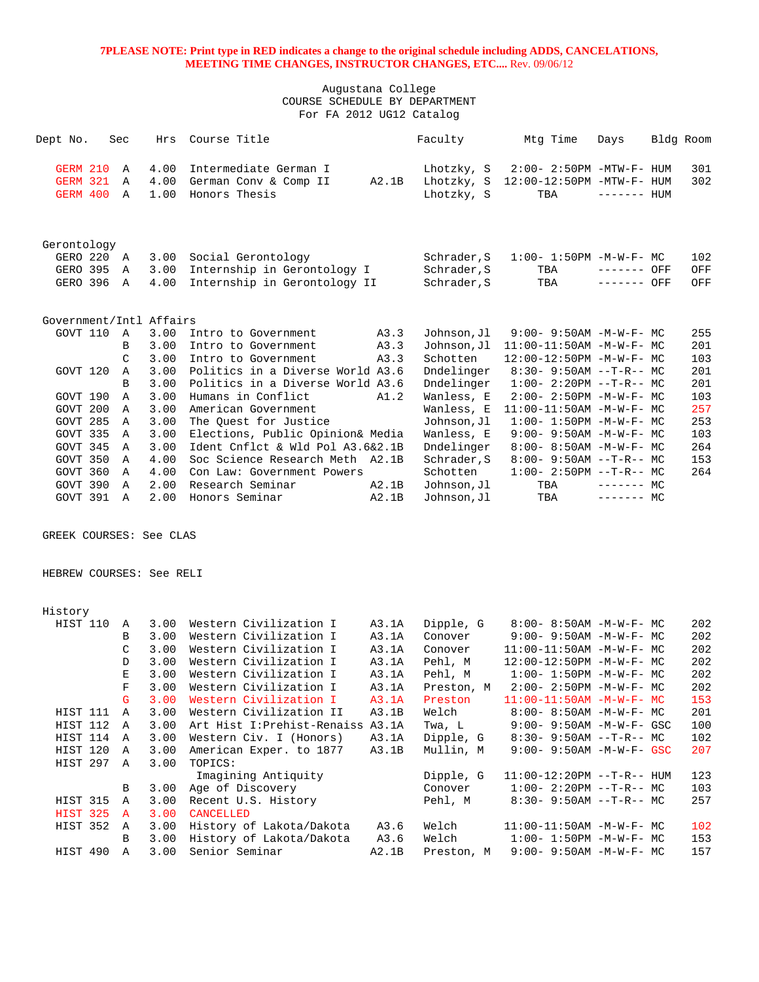| Dept No.                                                                                                                                                    | Sec                                                                                                            | Hrs                                                                                                          | Course Title                                                                                                                                                                                                                                                                                                                                                                                   |                                                             | Faculty                                                                                                                                                                                            | Mtg Time                                                                                                                                                                                                                                                                                                                                                                    | Days                      | Bldg Room |                                                                                  |
|-------------------------------------------------------------------------------------------------------------------------------------------------------------|----------------------------------------------------------------------------------------------------------------|--------------------------------------------------------------------------------------------------------------|------------------------------------------------------------------------------------------------------------------------------------------------------------------------------------------------------------------------------------------------------------------------------------------------------------------------------------------------------------------------------------------------|-------------------------------------------------------------|----------------------------------------------------------------------------------------------------------------------------------------------------------------------------------------------------|-----------------------------------------------------------------------------------------------------------------------------------------------------------------------------------------------------------------------------------------------------------------------------------------------------------------------------------------------------------------------------|---------------------------|-----------|----------------------------------------------------------------------------------|
| <b>GERM 210</b><br><b>GERM 321</b><br>GERM 400                                                                                                              | Α<br>Α<br>$\mathbb{A}$                                                                                         | 4.00<br>4.00<br>1.00                                                                                         | Intermediate German I<br>German Conv & Comp II<br>Honors Thesis                                                                                                                                                                                                                                                                                                                                | A2.1B                                                       | Lhotzky, S<br>Lhotzky, S<br>Lhotzky, S                                                                                                                                                             | $2:00 - 2:50PM - MTW - F - HUM$<br>12:00-12:50PM -MTW-F- HUM<br>TBA                                                                                                                                                                                                                                                                                                         | $------$ HUM              |           | 301<br>302                                                                       |
| Gerontology<br>GERO 220 A<br>GERO 395                                                                                                                       | Α                                                                                                              | 3.00<br>3.00                                                                                                 | Social Gerontology<br>Internship in Gerontology I                                                                                                                                                                                                                                                                                                                                              |                                                             | Schrader, S<br>Schrader, S                                                                                                                                                                         | $1:00 - 1:50PM - M - W - F - MC$<br>TBA                                                                                                                                                                                                                                                                                                                                     | ------- OFF               |           | 102<br>OFF                                                                       |
| GERO 396                                                                                                                                                    | Α                                                                                                              | 4.00                                                                                                         | Internship in Gerontology II                                                                                                                                                                                                                                                                                                                                                                   |                                                             | Schrader, S                                                                                                                                                                                        | TBA                                                                                                                                                                                                                                                                                                                                                                         | ------- OFF               |           | OFF                                                                              |
| Government/Intl Affairs<br>GOVT 110<br>GOVT 120<br>GOVT 190<br>GOVT 200<br>GOVT 285<br>GOVT 335<br>GOVT 345<br>GOVT 350<br>GOVT 360<br>GOVT 390<br>GOVT 391 | Α<br>B<br>C<br>Α<br>B<br>Α<br>$\mathbb{A}$<br>$\mathbb{A}$<br>Α<br>Α<br>Α<br>Α<br>$\mathbb{A}$<br>$\mathbb{A}$ | 3.00<br>3.00<br>3.00<br>3.00<br>3.00<br>3.00<br>3.00<br>3.00<br>3.00<br>3.00<br>4.00<br>4.00<br>2.00<br>2.00 | Intro to Government<br>Intro to Government<br>Intro to Government<br>Politics in a Diverse World A3.6<br>Politics in a Diverse World A3.6<br>Humans in Conflict<br>American Government<br>The Quest for Justice<br>Elections, Public Opinion& Media<br>Ident Cnflct & Wld Pol A3.6&2.1B<br>Soc Science Research Meth A2.1B<br>Con Law: Government Powers<br>Research Seminar<br>Honors Seminar | A3.3<br>A3.3<br>A3.3<br>A1.2<br>A2.1B<br>A2.1B              | Johnson, Jl<br>Johnson, Jl<br>Schotten<br>Dndelinger<br>Dndelinger<br>Wanless, E<br>Wanless, E<br>Johnson, Jl<br>Wanless, E<br>Dndelinger<br>Schrader, S<br>Schotten<br>Johnson, Jl<br>Johnson, Jl | 9:00- 9:50AM -M-W-F- MC<br>$11:00-11:50AM$ -M-W-F- MC<br>12:00-12:50PM -M-W-F- MC<br>$8:30 - 9:50AM -T-R-- MC$<br>$1:00-2:20PM -T-R--MC$<br>$2:00 - 2:50PM -M-W-F - MC$<br>11:00-11:50AM -M-W-F- MC<br>$1:00 - 1:50PM - M - W - F - MC$<br>9:00- 9:50AM -M-W-F- MC<br>$8:00 - 8:50AM - M - W - F - MC$<br>$8:00 - 9:50AM -T-R-- MC$<br>$1:00-2:50PM -T-R--MC$<br>TBA<br>TBA | $------MC$<br>$------$ MC |           | 255<br>201<br>103<br>201<br>201<br>103<br>257<br>253<br>103<br>264<br>153<br>264 |
| GREEK COURSES: See CLAS                                                                                                                                     |                                                                                                                |                                                                                                              |                                                                                                                                                                                                                                                                                                                                                                                                |                                                             |                                                                                                                                                                                                    |                                                                                                                                                                                                                                                                                                                                                                             |                           |           |                                                                                  |
| HEBREW COURSES: See RELI                                                                                                                                    |                                                                                                                |                                                                                                              |                                                                                                                                                                                                                                                                                                                                                                                                |                                                             |                                                                                                                                                                                                    |                                                                                                                                                                                                                                                                                                                                                                             |                           |           |                                                                                  |
| History                                                                                                                                                     |                                                                                                                |                                                                                                              |                                                                                                                                                                                                                                                                                                                                                                                                |                                                             |                                                                                                                                                                                                    |                                                                                                                                                                                                                                                                                                                                                                             |                           |           |                                                                                  |
| HIST 110                                                                                                                                                    | Α<br>B<br>C<br>D<br>E<br>$\mathbf{F}% _{0}$<br>$\overline{G}$                                                  | 3.00<br>3.00<br>3.00<br>3.00<br>3.00<br>3.00<br>3.00                                                         | Western Civilization I<br>Western Civilization I<br>Western Civilization I<br>Western Civilization I<br>Western Civilization I<br>Western Civilization I<br>Western Civilization I                                                                                                                                                                                                             | A3.1A<br>A3.1A<br>A3.1A<br>A3.1A<br>A3.1A<br>A3.1A<br>A3.1A | Dipple, G<br>Conover<br>Conover<br>Pehl, M<br>Pehl, M<br>Preston, M<br>Preston                                                                                                                     | 8:00- 8:50AM -M-W-F- MC<br>$9:00 - 9:50AM - M - W - F - MC$<br>$11:00-11:50AM$ -M-W-F- MC<br>12:00-12:50PM -M-W-F- MC<br>$1:00 - 1:50PM -M-W-F - MC$<br>2:00- 2:50PM -M-W-F- MC<br>$11:00-11:50AM$ -M-W-F- MC                                                                                                                                                               |                           |           | 202<br>202<br>202<br>202<br>202<br>202<br>153                                    |
| HIST 111<br>HIST 112                                                                                                                                        | $\mathbb A$<br>A                                                                                               | 3.00<br>3.00                                                                                                 | Western Civilization II<br>Art Hist I: Prehist-Renaiss A3.1A                                                                                                                                                                                                                                                                                                                                   | A3.1B                                                       | Welch<br>Twa, L                                                                                                                                                                                    | $8:00 - 8:50AM$ -M-W-F- MC<br>9:00- 9:50AM -M-W-F- GSC                                                                                                                                                                                                                                                                                                                      |                           |           | 201<br>100                                                                       |

| HIST 114   | A            |      | 3.00 Western Civ. I (Honors)             | A3.1A | Dipple, G  | $8:30 - 9:50AM -T-R--MC$          | 102 |
|------------|--------------|------|------------------------------------------|-------|------------|-----------------------------------|-----|
| HIST 120   | A            | 3.00 | American Exper. to 1877                  | A3.1B | Mullin, M  | $9:00 - 9:50AM - M - W - F - GSC$ | 207 |
| HIST 297   | A            | 3.00 | TOPICS:                                  |       |            |                                   |     |
|            |              |      | Imagining Antiquity                      |       | Dipple, G  | $11:00-12:20$ PM --T-R-- HUM      | 123 |
|            |              |      | B 3.00 Age of Discovery                  |       | Conover    | $1:00-2:20PM --T-R--MC$           | 103 |
| HIST 315 A |              |      | 3.00 Recent U.S. History                 |       | Pehl, M    | $8:30 - 9:50AM -T-R-- MC$         | 257 |
| $HTST$ 325 | $\mathbf{A}$ |      | 3.00 CANCELLED                           |       |            |                                   |     |
|            |              |      | HIST 352 A 3.00 History of Lakota/Dakota | A3.6  | Welch      | $11:00-11:50AM$ -M-W-F- MC        | 102 |
|            | $\mathbf{B}$ |      | 3.00 History of Lakota/Dakota            | A3.6  | Welch      | $1:00-1:50PM -M-W-F-MC$           | 153 |
| HTST 490   | A            | 3.00 | Senior Seminar                           | A2.1B | Preston, M | $9:00 - 9:50AM - M - W - F - MC$  | 157 |
|            |              |      |                                          |       |            |                                   |     |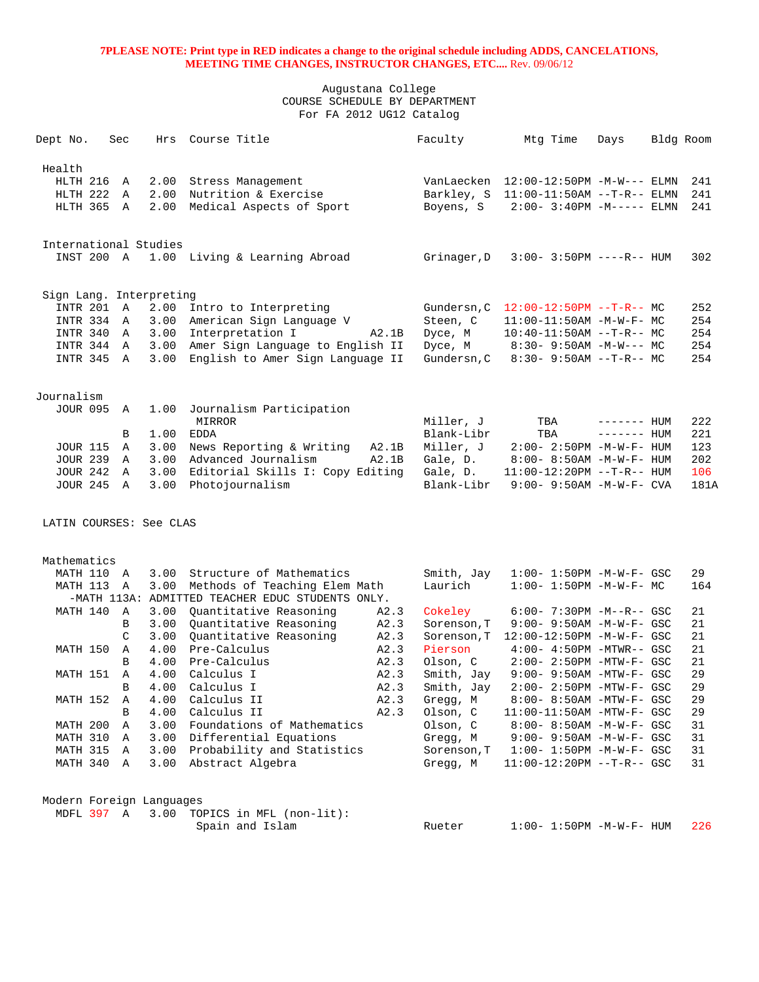| Dept No.                 | Sec           | Hrs          | Course Title                                              |              | Faculty               | Mtg Time                                                              | Days         | Bldg Room |           |
|--------------------------|---------------|--------------|-----------------------------------------------------------|--------------|-----------------------|-----------------------------------------------------------------------|--------------|-----------|-----------|
| Health                   |               |              |                                                           |              |                       |                                                                       |              |           |           |
| HLTH 216                 | A             | 2.00         | Stress Management                                         |              |                       | VanLaecken 12:00-12:50PM -M-W--- ELMN                                 |              |           | 241       |
| HLTH 222 A               |               | 2.00         | Nutrition & Exercise                                      |              |                       | Barkley, S 11:00-11:50AM --T-R-- ELMN                                 |              |           | 241       |
| HLTH 365 A               |               | 2.00         | Medical Aspects of Sport                                  |              | Boyens, S             | $2:00 - 3:40PM - M--- -$ ELMN                                         |              |           | 241       |
|                          |               |              |                                                           |              |                       |                                                                       |              |           |           |
| International Studies    |               |              |                                                           |              |                       |                                                                       |              |           |           |
| INST 200 A               |               |              | 1.00 Living & Learning Abroad                             |              | Grinager, D           | $3:00 - 3:50PM$ ----R-- HUM                                           |              |           | 302       |
| Sign Lang. Interpreting  |               |              |                                                           |              |                       |                                                                       |              |           |           |
| INTR 201 A               |               | 2.00         | Intro to Interpreting                                     |              | Gundersn, C           | $12:00-12:50PM$ --T-R-- MC                                            |              |           | 252       |
| INTR 334 A               |               | 3.00         | American Sign Language V                                  |              | Steen, C              | $11:00-11:50AM$ -M-W-F- MC                                            |              |           | 254       |
| INTR 340 A               |               | 3.00         | Interpretation I                                          | A2.1B        | Dyce, M               | $10:40-11:50AM$ --T-R-- MC                                            |              |           | 254       |
| INTR 344 A               |               | 3.00         | Amer Sign Language to English II                          |              | Dyce, M               | $8:30 - 9:50AM - M-W--- MC$                                           |              |           | 254       |
| INTR 345 A               |               | 3.00         | English to Amer Sign Language II                          |              | Gundersn, C           | $8:30 - 9:50AM -T-R--MC$                                              |              |           | 254       |
| Journalism               |               |              |                                                           |              |                       |                                                                       |              |           |           |
| <b>JOUR 095 A</b>        |               | 1.00         | Journalism Participation                                  |              |                       |                                                                       |              |           |           |
|                          |               |              | MIRROR                                                    |              | Miller, J             | TBA                                                                   | $------$ HUM |           | 222       |
|                          | В             | 1.00         | EDDA                                                      |              | Blank-Libr            | TBA                                                                   | ------- HUM  |           | 221       |
| <b>JOUR 115</b>          | Α             | 3.00         | News Reporting & Writing                                  | A2.1B        | Miller, J             | $2:00 - 2:50PM -M-W-F- HUM$                                           |              |           | 123       |
| <b>JOUR 239</b>          | A             | 3.00         | Advanced Journalism                                       | A2.1B        | Gale, D.              | $8:00 - 8:50AM - M - W - F - HUM$                                     |              |           | 202       |
| <b>JOUR 242 A</b>        |               | 3.00         | Editorial Skills I: Copy Editing                          |              | Gale, D.              | $11:00-12:20PM$ --T-R-- HUM                                           |              |           | 106       |
| <b>JOUR 245 A</b>        |               | 3.00         | Photojournalism                                           |              | Blank-Libr            | 9:00- 9:50AM -M-W-F- CVA                                              |              |           | 181A      |
| LATIN COURSES: See CLAS  |               |              |                                                           |              |                       |                                                                       |              |           |           |
|                          |               |              |                                                           |              |                       |                                                                       |              |           |           |
| Mathematics              |               |              |                                                           |              |                       |                                                                       |              |           |           |
| MATH 110<br>MATH 113     | A<br>A        | 3.00<br>3.00 | Structure of Mathematics<br>Methods of Teaching Elem Math |              | Smith, Jay<br>Laurich | $1:00 - 1:50PM - M - W - F - GSC$<br>$1:00 - 1:50PM - M - W - F - MC$ |              |           | 29<br>164 |
|                          |               |              | -MATH 113A: ADMITTED TEACHER EDUC STUDENTS ONLY.          |              |                       |                                                                       |              |           |           |
| MATH 140                 | A             | 3.00         | Quantitative Reasoning                                    | A2.3         | Cokeley               | $6:00 - 7:30PM -M--R--GSC$                                            |              |           | 21        |
|                          | B             | 3.00         | Ouantitative Reasoning                                    | A2.3         | Sorenson, T           | 9:00- 9:50AM -M-W-F- GSC                                              |              |           | 21        |
|                          | $\mathcal{C}$ | 3.00         | Quantitative Reasoning                                    | A2.3         | Sorenson, T           | 12:00-12:50PM -M-W-F- GSC                                             |              |           | 21        |
| MATH 150                 | Α             | 4.00         | Pre-Calculus                                              | A2.3         | Pierson               | $4:00 - 4:50PM - MTWR - - GSC$                                        |              |           | 21        |
|                          | B             | 4.00         | Pre-Calculus                                              | A2.3         | Olson, C              | $2:00-2:50PM -MTW-F-GSC$                                              |              |           | 21        |
| MATH 151                 | Α             | 4.00         | Calculus I                                                | A2.3         | Smith, Jay            | $9:00 - 9:50AM - MTW - F - GSC$                                       |              |           | 29        |
|                          | B             |              | 4.00 Calculus I                                           | A2.3         | Smith, Jay            | 2:00- 2:50PM -MTW-F- GSC                                              |              |           | 29        |
| MATH 152 A               | В             |              | 4.00 Calculus II<br>4.00 Calculus II                      | A2.3<br>A2.3 | Gregg, M<br>Olson, C  | 8:00- 8:50AM -MTW-F- GSC<br>11:00-11:50AM -MTW-F- GSC                 |              |           | 29<br>29  |
| MATH 200                 | $\mathbb A$   |              | 3.00 Foundations of Mathematics                           |              | Olson, C              | 8:00- 8:50AM -M-W-F- GSC                                              |              |           | 31        |
| MATH 310 A               |               |              | 3.00 Differential Equations                               |              | Gregg, M              | $9:00 - 9:50AM - M - W - F - GSC$                                     |              |           | 31        |
| MATH 315 A               |               |              | 3.00 Probability and Statistics                           |              | Sorenson, T           | $1:00 - 1:50PM - M - W - F - GSC$                                     |              |           | 31        |
| MATH 340 A               |               |              | 3.00 Abstract Algebra                                     |              | Gregg, M              | $11:00-12:20PM$ --T-R-- GSC                                           |              |           | 31        |
| Modern Foreign Languages |               |              |                                                           |              |                       |                                                                       |              |           |           |
| MDFL 397 A               |               |              | 3.00 TOPICS in MFL (non-lit):                             |              |                       |                                                                       |              |           |           |
|                          |               |              | Spain and Islam                                           |              | Rueter                | $1:00 - 1:50PM - M - W - F - HUM$                                     |              |           | 226       |
|                          |               |              |                                                           |              |                       |                                                                       |              |           |           |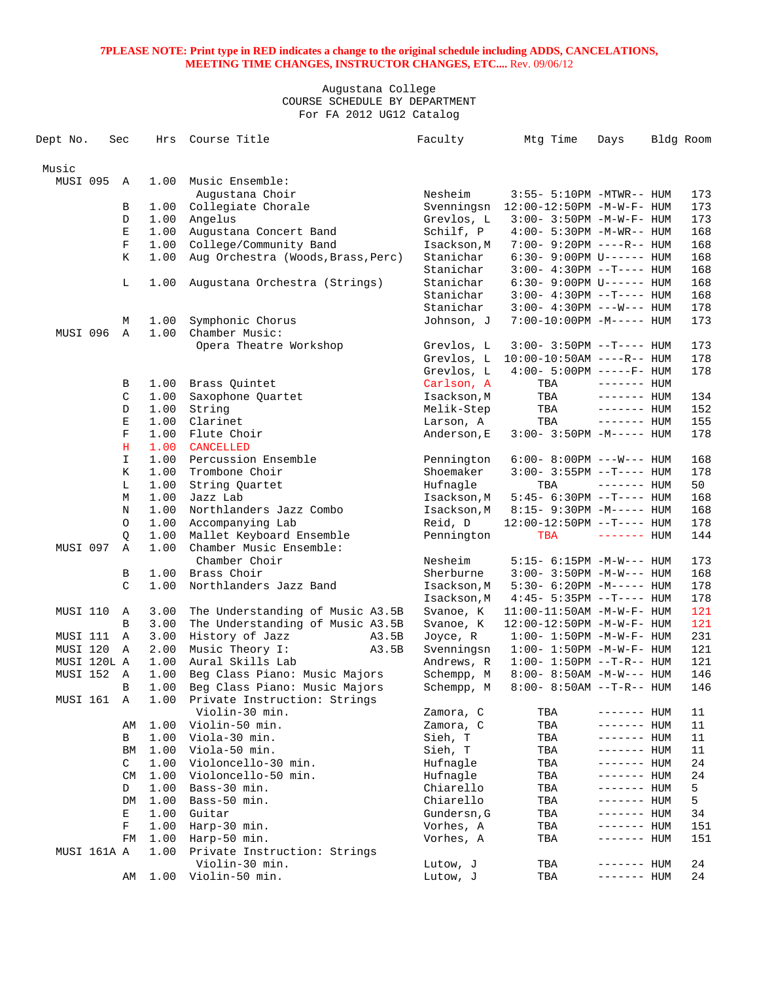| Dept No.          | Sec           | Hrs  | Course Title                       | Faculty     | Mtg Time                            | Days         | Bldg Room |
|-------------------|---------------|------|------------------------------------|-------------|-------------------------------------|--------------|-----------|
| Music             |               |      |                                    |             |                                     |              |           |
| MUSI 095          | A             | 1.00 | Music Ensemble:                    |             |                                     |              |           |
|                   |               |      | Augustana Choir                    | Nesheim     | 3:55- 5:10PM -MTWR-- HUM            |              | 173       |
|                   | В             | 1.00 | Collegiate Chorale                 | Svenningsn  | 12:00-12:50PM -M-W-F- HUM           |              | 173       |
|                   | D             | 1.00 | Angelus                            | Grevlos, L  | $3:00 - 3:50PM -M-W-F - HUM$        |              | 173       |
|                   | E             | 1.00 | Augustana Concert Band             | Schilf, P   | $4:00 - 5:30PM -M-WR-- HUM$         |              | 168       |
|                   | $\mathbf F$   | 1.00 | College/Community Band             | Isackson, M | 7:00- 9:20PM ----R-- HUM            |              | 168       |
|                   | Κ             | 1.00 | Aug Orchestra (Woods, Brass, Perc) | Stanichar   | $6:30 - 9:00 \text{PM}$ U------ HUM |              | 168       |
|                   |               |      |                                    | Stanichar   | $3:00-4:30PM -T--- HUM$             |              | 168       |
|                   | L             | 1.00 | Augustana Orchestra (Strings)      | Stanichar   | $6:30 - 9:00 \text{PM U----- HUM}$  |              | 168       |
|                   |               |      |                                    | Stanichar   | $3:00-4:30PM -T--- HUM$             |              | 168       |
|                   |               |      |                                    | Stanichar   | $3:00 - 4:30PM$ ---W--- HUM         |              | 178       |
|                   | М             | 1.00 | Symphonic Chorus                   | Johnson, J  | $7:00-10:00PM -M-----$ HUM          |              | 173       |
| MUSI 096          | Α             | 1.00 | Chamber Music:                     |             |                                     |              |           |
|                   |               |      | Opera Theatre Workshop             | Grevlos, L  | $3:00-3:50PM -T--- HUM$             |              | 173       |
|                   |               |      |                                    | Grevlos, L  | $10:00-10:50AM$ ----R-- HUM         |              | 178       |
|                   |               |      |                                    | Grevlos, L  | $4:00 - 5:00PM$ -----F- HUM         |              | 178       |
|                   | В             | 1.00 | Brass Quintet                      | Carlson, A  | TBA                                 | $------$ HUM |           |
|                   | C             | 1.00 | Saxophone Quartet                  | Isackson, M | TBA                                 | $------$ HUM | 134       |
|                   | D             | 1.00 | String                             | Melik-Step  | TBA                                 | $------$ HUM | 152       |
|                   | E             | 1.00 | Clarinet                           | Larson, A   | TBA                                 | $------$ HUM | 155       |
|                   | $\mathbf F$   | 1.00 | Flute Choir                        | Anderson, E | $3:00 - 3:50PM -M---$ HUM           |              | 178       |
|                   | H             | 1.00 | CANCELLED                          |             |                                     |              |           |
|                   | $\mathbf I$   | 1.00 | Percussion Ensemble                | Pennington  | $6:00 - 8:00PM$ ---W--- HUM         |              | 168       |
|                   | Κ             | 1.00 | Trombone Choir                     | Shoemaker   | $3:00 - 3:55PM -T--- HUM$           |              | 178       |
|                   | L             | 1.00 | String Quartet                     | Hufnagle    | TBA                                 | $------$ HUM | 50        |
|                   | M             | 1.00 | Jazz Lab                           | Isackson, M | $5:45-6:30PM --T--- HUM$            |              | 168       |
|                   | N             | 1.00 | Northlanders Jazz Combo            | Isackson, M | 8:15- 9:30PM -M----- HUM            |              | 168       |
|                   | O             | 1.00 | Accompanying Lab                   | Reid, D     | $12:00-12:50PM$ --T---- HUM         |              | 178       |
|                   | Q             | 1.00 | Mallet Keyboard Ensemble           | Pennington  | TBA                                 | $------$ HUM | 144       |
| MUSI 097          | Α             | 1.00 | Chamber Music Ensemble:            |             |                                     |              |           |
|                   |               |      | Chamber Choir                      | Nesheim     | $5:15- 6:15PM -M-W--- HUM$          |              | 173       |
|                   | В             | 1.00 | Brass Choir                        | Sherburne   | $3:00 - 3:50PM -M-W---$ HUM         |              | 168       |
|                   | $\mathcal{C}$ | 1.00 | Northlanders Jazz Band             | Isackson, M | $5:30-6:20PM -M--- HUM$             |              | 178       |
|                   |               |      |                                    | Isackson, M | $4:45 - 5:35PM -T--- HUM$           |              | 178       |
| MUSI 110          | Α             | 3.00 | The Understanding of Music A3.5B   | Svanoe, K   | $11:00-11:50AM$ -M-W-F- HUM         |              | 121       |
|                   | B             | 3.00 | The Understanding of Music A3.5B   | Svanoe, K   | 12:00-12:50PM -M-W-F- HUM           |              | 121       |
| MUSI 111          | Α             | 3.00 | History of Jazz<br>A3.5B           | Joyce, R    | $1:00 - 1:50PM - M - W - F - HUM$   |              | 231       |
| MUSI 120          | A             | 2.00 | Music Theory I:<br>A3.5B           | Svenningsn  | $1:00 - 1:50PM - M - W - F - HUM$   |              | 121       |
| MUSI 120L A       |               | 1.00 | Aural Skills Lab                   | Andrews, R  | $1:00 - 1:50PM -T-R-- HUM$          |              | 121       |
| <b>MUSI 152 A</b> |               | 1.00 | Beg Class Piano: Music Majors      | Schempp, M  | $8:00 - 8:50AM - M-W---$ HUM        |              | 146       |
|                   | $\, {\bf B}$  |      | 1.00 Beg Class Piano: Music Majors | Schempp, M  | $8:00-8:50AM --T-R--HUM$            |              | 146       |
| MUSI 161          | Α             |      | 1.00 Private Instruction: Strings  |             |                                     |              |           |
|                   |               |      | Violin-30 min.                     | Zamora, C   | TBA                                 | ------- HUM  | 11        |
|                   | AΜ            | 1.00 | Violin-50 min.                     | Zamora, C   | TBA                                 | ------- HUM  | 11        |
|                   | В             | 1.00 | Viola-30 min.                      | Sieh, T     | TBA                                 | ------- HUM  | 11        |
|                   | ΒM            | 1.00 | Viola-50 min.                      | Sieh, T     | TBA                                 | ------- HUM  | 11        |
|                   | C             | 1.00 | Violoncello-30 min.                | Hufnagle    | TBA                                 | ------- HUM  | 24        |
|                   | CM            | 1.00 | Violoncello-50 min.                | Hufnagle    | TBA                                 | ------- HUM  | 24        |
|                   | D             | 1.00 | Bass-30 min.                       | Chiarello   | TBA                                 | ------- HUM  | 5         |
|                   | DM            | 1.00 | Bass-50 min.                       | Chiarello   | TBA                                 | ------- HUM  | 5         |
|                   | Е             | 1.00 | Guitar                             | Gundersn, G | TBA                                 | ------- HUM  | 34        |
|                   | F             | 1.00 | Harp-30 min.                       | Vorhes, A   | TBA                                 | ------- HUM  | 151       |
|                   | FM            | 1.00 | Harp-50 min.                       | Vorhes, A   | TBA                                 | ------- HUM  | 151       |
| MUSI 161A A       |               | 1.00 | Private Instruction: Strings       |             |                                     |              |           |
|                   |               |      | Violin-30 min.                     | Lutow, J    | TBA                                 | ------- HUM  | 24        |
|                   | AΜ            | 1.00 | Violin-50 min.                     | Lutow, J    | TBA                                 | ------- HUM  | 24        |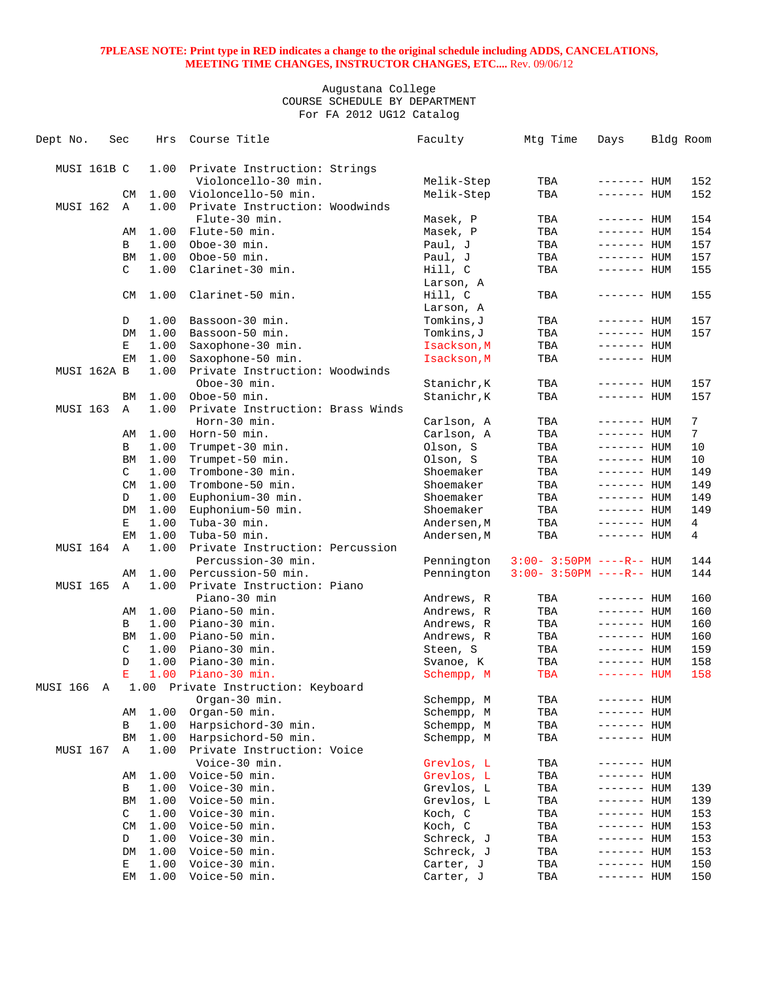| Dept No.        | Sec |             | Hrs  | Course Title                       | Faculty     | Mtg Time                    | Days         | Bldg Room       |
|-----------------|-----|-------------|------|------------------------------------|-------------|-----------------------------|--------------|-----------------|
|                 |     |             |      |                                    |             |                             |              |                 |
| MUSI 161B C     |     |             | 1.00 | Private Instruction: Strings       |             |                             |              |                 |
|                 |     |             |      | Violoncello-30 min.                | Melik-Step  | TBA                         | ------- HUM  | 152             |
|                 |     | CM          | 1.00 | Violoncello-50 min.                | Melik-Step  | TBA                         | ------- HUM  | 152             |
| MUSI 162        |     | Α           | 1.00 | Private Instruction: Woodwinds     |             |                             |              |                 |
|                 |     |             |      | Flute-30 min.                      | Masek, P    | TBA                         | $------$ HUM | 154             |
|                 |     | AΜ          | 1.00 | Flute-50 min.                      | Masek, P    | TBA                         | $------$ HUM | 154             |
|                 |     | В           | 1.00 | Oboe-30 min.                       | Paul, J     | TBA                         | $------$ HUM | 157             |
|                 |     | ΒM          | 1.00 | Oboe-50 min.                       | Paul, J     | TBA                         | $------$ HUM | 157             |
|                 |     | C           | 1.00 | Clarinet-30 min.                   | Hill, C     | TBA                         | ------- HUM  | 155             |
|                 |     |             |      |                                    | Larson, A   |                             |              |                 |
|                 |     | CM          | 1.00 | Clarinet-50 min.                   | Hill, C     | TBA                         | $------$ HUM | 155             |
|                 |     |             |      |                                    | Larson, A   |                             |              |                 |
|                 |     | D           | 1.00 | Bassoon-30 min.                    | Tomkins, J  | TBA                         | $------$ HUM | 157             |
|                 |     | DM          | 1.00 | Bassoon-50 min.                    | Tomkins, J  | TBA                         | $------$ HUM | 157             |
|                 |     | Е           | 1.00 | Saxophone-30 min.                  | Isackson, M | TBA                         | ------- HUM  |                 |
|                 |     | EМ          | 1.00 | Saxophone-50 min.                  | Isackson, M | TBA                         | ------- HUM  |                 |
| MUSI 162A B     |     |             | 1.00 | Private Instruction: Woodwinds     |             |                             |              |                 |
|                 |     |             |      | Oboe-30 min.                       | Stanichr, K | TBA                         | ------- HUM  | 157             |
|                 |     | ВM          | 1.00 | Oboe-50 min.                       | Stanichr, K | TBA                         | ------- HUM  | 157             |
| MUSI 163        |     | A           | 1.00 | Private Instruction: Brass Winds   |             |                             |              |                 |
|                 |     |             |      | Horn-30 min.                       | Carlson, A  | TBA                         | $------$ HUM | 7               |
|                 |     | AΜ          | 1.00 | Horn-50 min.                       | Carlson, A  | TBA                         | $------$ HUM | $7\overline{ }$ |
|                 |     | В           | 1.00 | Trumpet-30 min.                    | Olson, S    | TBA                         | $------$ HUM | 10              |
|                 |     | ΒM          | 1.00 | Trumpet-50 min.                    | Olson, S    | TBA                         | $------$ HUM | 10              |
|                 |     | C           | 1.00 | Trombone-30 min.                   | Shoemaker   | TBA                         | $------$ HUM | 149             |
|                 |     | CM          | 1.00 | Trombone-50 min.                   | Shoemaker   | TBA                         | $------$ HUM | 149             |
|                 |     | D           | 1.00 | Euphonium-30 min.                  | Shoemaker   | TBA                         | $------$ HUM | 149             |
|                 |     | DM          | 1.00 | Euphonium-50 min.                  | Shoemaker   | TBA                         | $------$ HUM | 149             |
|                 |     | Е           | 1.00 | Tuba-30 min.                       | Andersen, M | TBA                         | $------HH$   | $\overline{4}$  |
|                 |     | EМ          | 1.00 | Tuba-50 min.                       | Andersen, M | TBA                         | $------$ HUM | 4               |
| MUSI 164        |     | $\mathbb A$ | 1.00 | Private Instruction: Percussion    |             |                             |              |                 |
|                 |     |             |      | Percussion-30 min.                 | Pennington  | $3:00 - 3:50PM$ ----R-- HUM |              | 144             |
|                 |     | AM          | 1.00 | Percussion-50 min.                 | Pennington  | $3:00 - 3:50PM$ ----R-- HUM |              | 144             |
| <b>MUSI 165</b> |     | $\mathbb A$ | 1.00 | Private Instruction: Piano         |             |                             |              |                 |
|                 |     |             |      | Piano-30 min                       | Andrews, R  | TBA                         | $------$ HUM | 160             |
|                 |     | AΜ          | 1.00 | Piano-50 min.                      | Andrews, R  | TBA                         | $------$ HUM | 160             |
|                 |     | В           | 1.00 | Piano-30 min.                      | Andrews, R  | TBA                         | $------$ HUM | 160             |
|                 |     | <b>BM</b>   | 1.00 | Piano-50 min.                      | Andrews, R  | TBA                         | ------- HUM  | 160             |
|                 |     | C           | 1.00 | Piano-30 min.                      | Steen, S    | TBA                         | $------$ HUM | 159             |
|                 |     | D           | 1.00 | Piano-30 min.                      | Svanoe, K   | TBA                         | $------$ HUM | 158             |
|                 |     | Е           | 1.00 | Piano-30 min.                      | Schempp, M  | TBA                         | ------- HUM  | 158             |
| MUSI 166        | Α   |             |      | 1.00 Private Instruction: Keyboard |             |                             |              |                 |
|                 |     |             |      | Organ-30 min.                      | Schempp, M  | TBA                         | ------- HUM  |                 |
|                 |     | ΑМ          | 1.00 | Organ-50 min.                      | Schempp, M  | TBA                         | ------- HUM  |                 |
|                 |     | В           | 1.00 | Harpsichord-30 min.                | Schempp, M  | TBA                         | ------- HUM  |                 |
|                 |     | BM          | 1.00 | Harpsichord-50 min.                | Schempp, M  | TBA                         | ------- HUM  |                 |
| MUSI 167        |     | Α           | 1.00 | Private Instruction: Voice         |             |                             |              |                 |
|                 |     |             |      | Voice-30 min.                      | Grevlos, L  | TBA                         | ------- HUM  |                 |
|                 |     | AΜ          | 1.00 | Voice-50 min.                      | Grevlos, L  | TBA                         | ------- HUM  |                 |
|                 |     | В           | 1.00 | Voice-30 min.                      | Grevlos, L  | TBA                         | ------- HUM  | 139             |
|                 |     | BM          | 1.00 | Voice-50 min.                      | Grevlos, L  | TBA                         | ------- HUM  | 139             |
|                 |     | C           | 1.00 | Voice-30 min.                      | Koch, C     | TBA                         | ------- HUM  | 153             |
|                 |     | CM          | 1.00 | Voice-50 min.                      | Koch, C     | TBA                         | ------- HUM  | 153             |
|                 |     | D           | 1.00 | Voice-30 min.                      | Schreck, J  | TBA                         | ------- HUM  | 153             |
|                 |     | DM          | 1.00 | Voice-50 min.                      | Schreck, J  | TBA                         | ------- HUM  | 153             |
|                 |     | Е           | 1.00 | Voice-30 min.                      | Carter, J   | TBA                         | ---- HUM     | 150             |
|                 |     | EМ          | 1.00 | Voice-50 min.                      | Carter, J   | TBA                         | ------- HUM  | 150             |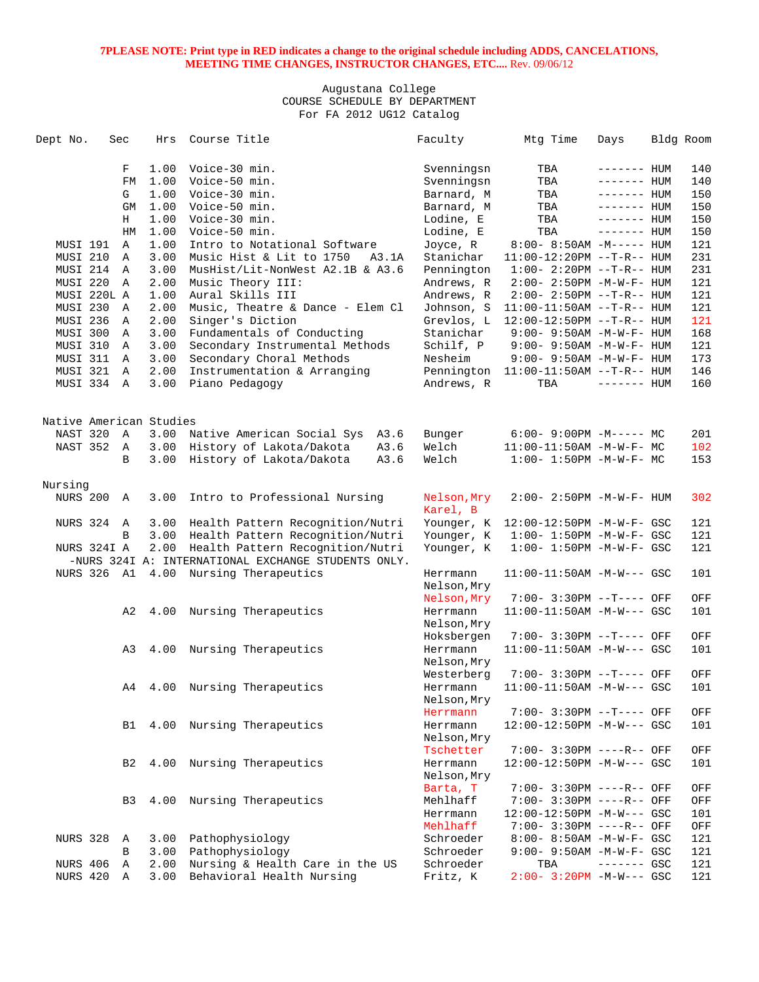| Dept No.                | Sec          | Hrs  | Course Title                                        | Faculty                 | Mtg Time                          | Days         | Bldg Room |
|-------------------------|--------------|------|-----------------------------------------------------|-------------------------|-----------------------------------|--------------|-----------|
|                         | F            | 1.00 | Voice-30 min.                                       | Svenningsn              | TBA                               | $------$ HUM | 140       |
|                         | FM           | 1.00 | Voice-50 min.                                       | Svenningsn              | TBA                               | $------$ HUM | 140       |
|                         | G            | 1.00 | Voice-30 min.                                       | Barnard, M              | TBA                               | $------$ HUM | 150       |
|                         | GM           | 1.00 | Voice-50 min.                                       | Barnard, M              | TBA                               | $------$ HUM | 150       |
|                         | Н            | 1.00 | Voice-30 min.                                       | Lodine, E               | TBA                               | $------$ HUM | 150       |
|                         | HM           | 1.00 | Voice-50 min.                                       | Lodine, E               | TBA                               | $------$ HUM | 150       |
| MUSI 191                | $\mathbb{A}$ | 1.00 | Intro to Notational Software                        | Joyce, R                | $8:00 - 8:50AM - M---$ HUM        |              | 121       |
| MUSI 210                | Α            | 3.00 | Music Hist & Lit to 1750<br>A3.1A                   | Stanichar               | $11:00-12:20PM$ --T-R-- HUM       |              | 231       |
| MUSI 214                | $\mathbb{A}$ | 3.00 | MusHist/Lit-NonWest A2.1B & A3.6                    | Pennington              | $1:00 - 2:20PM -T-R--HUM$         |              | 231       |
| MUSI 220                | Α            | 2.00 | Music Theory III:                                   | Andrews, R              | $2:00 - 2:50PM -M-W-F - HUM$      |              | 121       |
| MUSI 220L A             |              | 1.00 | Aural Skills III                                    | Andrews, R              | $2:00 - 2:50PM -T-R--HUM$         |              | 121       |
| MUSI 230                | A            | 2.00 | Music, Theatre & Dance - Elem Cl                    | Johnson, S              | $11:00-11:50AM$ --T-R-- HUM       |              | 121       |
| MUSI 236                | Α            | 2.00 | Singer's Diction                                    | Grevlos, L              | $12:00-12:50PM$ --T-R-- HUM       |              | 121       |
| MUSI 300                | A            | 3.00 | Fundamentals of Conducting                          | Stanichar               | $9:00 - 9:50AM - M - W - F - HUM$ |              | 168       |
| MUSI 310                | Α            | 3.00 | Secondary Instrumental Methods                      | Schilf, P               | $9:00 - 9:50AM -M-W-F - HUM$      |              | 121       |
| MUSI 311                | A            | 3.00 |                                                     | Nesheim                 |                                   |              | 173       |
| MUSI 321                | A            | 2.00 | Secondary Choral Methods                            | Pennington              | $9:00 - 9:50AM - M - W - F - HUM$ |              | 146       |
| MUSI 334 A              |              | 3.00 | Instrumentation & Arranging<br>Piano Pedagogy       |                         | $11:00-11:50AM$ --T-R-- HUM       |              | 160       |
|                         |              |      |                                                     | Andrews, R              | TBA                               | $------$ HUM |           |
| Native American Studies |              |      |                                                     |                         |                                   |              |           |
| NAST 320                | Α            | 3.00 | Native American Social Sys<br>A3.6                  | Bunger                  | $6:00-9:00PM -M--- MC$            |              | 201       |
| NAST 352                | A            | 3.00 | History of Lakota/Dakota<br>A3.6                    | Welch                   | 11:00-11:50AM -M-W-F- MC          |              | 102       |
|                         | B            | 3.00 | History of Lakota/Dakota<br>A3.6                    | Welch                   | $1:00 - 1:50PM - M - W - F - MC$  |              | 153       |
|                         |              |      |                                                     |                         |                                   |              |           |
| Nursing                 |              |      |                                                     |                         |                                   |              |           |
| NURS 200                | Α            | 3.00 | Intro to Professional Nursing                       | Nelson, Mry<br>Karel, B | $2:00 - 2:50PM -M-W-F - HUM$      |              | 302       |
| NURS 324                | A            | 3.00 | Health Pattern Recognition/Nutri                    | Younger, K              | 12:00-12:50PM -M-W-F- GSC         |              | 121       |
|                         | B            | 3.00 | Health Pattern Recognition/Nutri                    | Younger, K              | $1:00 - 1:50PM - M - W - F - GSC$ |              | 121       |
| NURS 324I A             |              | 2.00 | Health Pattern Recognition/Nutri                    | Younger, K              | $1:00 - 1:50PM - M - W - F - GSC$ |              | 121       |
|                         |              |      | -NURS 324I A: INTERNATIONAL EXCHANGE STUDENTS ONLY. |                         |                                   |              |           |
|                         |              |      | NURS 326 A1 4.00 Nursing Therapeutics               | Herrmann<br>Nelson, Mry | $11:00-11:50AM - M-W---$ GSC      |              | 101       |
|                         |              |      |                                                     | Nelson, Mry             | 7:00- 3:30PM --T---- OFF          |              | OFF       |
|                         | A2           | 4.00 | Nursing Therapeutics                                | Herrmann                | $11:00-11:50AM -M-W---$ GSC       |              | 101       |
|                         |              |      |                                                     | Nelson, Mry             |                                   |              |           |
|                         |              |      |                                                     | Hoksbergen              | 7:00- 3:30PM --T---- OFF          |              | OFF       |
|                         | A3           | 4.00 | Nursing Therapeutics                                | Herrmann                | $11:00-11:50AM$ $-M-W---$ GSC     |              | 101       |
|                         |              |      |                                                     | Nelson, Mry             |                                   |              |           |
|                         |              |      |                                                     | Westerberg              | 7:00- 3:30PM --T---- OFF          |              | OFF       |
|                         | A4           | 4.00 | Nursing Therapeutics                                | Herrmann                | $11:00-11:50AM - M-W---$ GSC      |              | 101       |
|                         |              |      |                                                     | Nelson, Mry             |                                   |              |           |
|                         |              |      |                                                     |                         | 7:00- 3:30PM --T---- OFF          |              |           |
|                         |              |      | Nursing Therapeutics                                | Herrmann                | 12:00-12:50PM -M-W--- GSC         |              | OFF       |
|                         | B1           | 4.00 |                                                     | Herrmann                |                                   |              | 101       |
|                         |              |      |                                                     | Nelson, Mry             |                                   |              |           |
|                         |              |      |                                                     | Tschetter               | 7:00- 3:30PM ----R-- OFF          |              | OFF       |
|                         | B2           | 4.00 | Nursing Therapeutics                                | Herrmann                | 12:00-12:50PM -M-W--- GSC         |              | 101       |
|                         |              |      |                                                     | Nelson, Mry             |                                   |              |           |
|                         |              |      |                                                     | Barta, T                | 7:00- 3:30PM ----R-- OFF          |              | OFF       |
|                         | B3           | 4.00 | Nursing Therapeutics                                | Mehlhaff                | 7:00- 3:30PM ----R-- OFF          |              | OFF       |
|                         |              |      |                                                     | Herrmann                | 12:00-12:50PM -M-W--- GSC         |              | 101       |
|                         |              |      |                                                     | Mehlhaff                | 7:00- 3:30PM ----R-- OFF          |              | OFF       |
| <b>NURS 328</b>         | A            | 3.00 | Pathophysiology                                     | Schroeder               | 8:00- 8:50AM -M-W-F- GSC          |              | 121       |
|                         | B            | 3.00 | Pathophysiology                                     | Schroeder               | 9:00- 9:50AM -M-W-F- GSC          |              | 121       |
| NURS 406                | Α            | 2.00 | Nursing & Health Care in the US                     | Schroeder               | TBA                               | $------$ GSC | 121       |
| NURS 420                | Α            | 3.00 | Behavioral Health Nursing                           | Fritz, K                | $2:00 - 3:20PM - M-W--- GSC$      |              | 121       |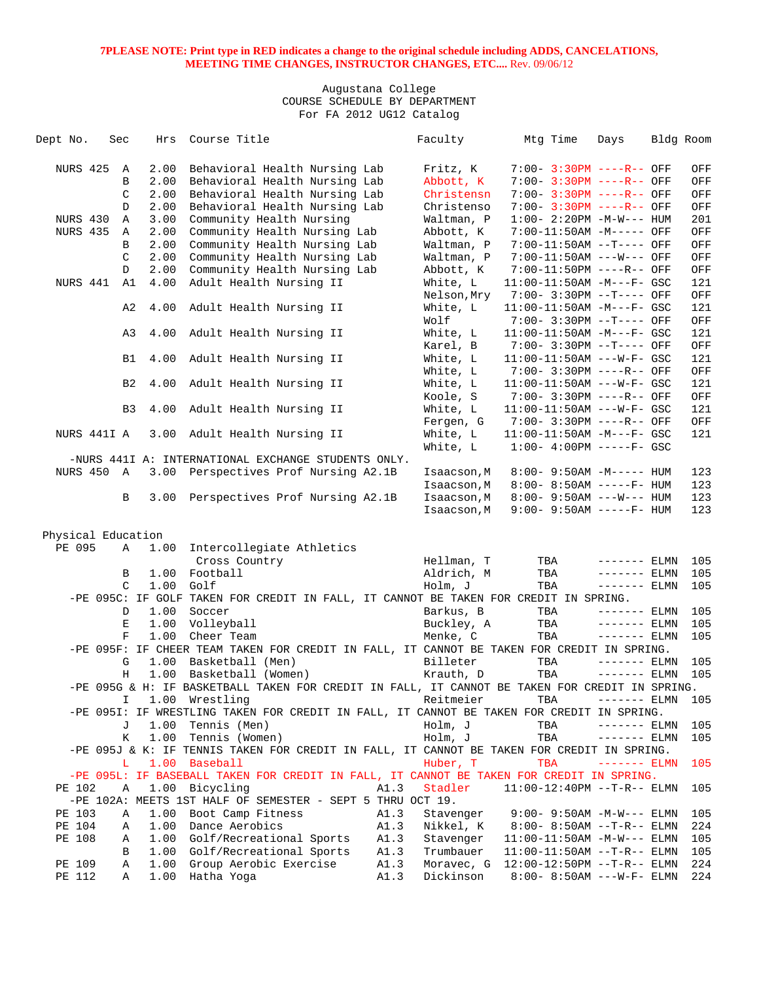| Dept No.           | Sec            | Hrs  | Course Title                                                                                   |      | Faculty                    | Mtg Time                                                   | Days          | Bldg Room |            |
|--------------------|----------------|------|------------------------------------------------------------------------------------------------|------|----------------------------|------------------------------------------------------------|---------------|-----------|------------|
| NURS 425           | Α              | 2.00 | Behavioral Health Nursing Lab                                                                  |      | Fritz, K                   | 7:00- 3:30PM ----R-- OFF                                   |               |           | OFF        |
|                    | B              | 2.00 | Behavioral Health Nursing Lab                                                                  |      | Abbott, K                  | 7:00- 3:30PM ----R-- OFF                                   |               |           | OFF        |
|                    | C              | 2.00 | Behavioral Health Nursing Lab                                                                  |      | Christensn                 | $7:00 - 3:30PM$ ----R-- OFF                                |               |           | OFF        |
|                    | D              | 2.00 | Behavioral Health Nursing Lab                                                                  |      | Christenso                 | 7:00- 3:30PM ----R-- OFF                                   |               |           | OFF        |
| NURS 430           | Α              | 3.00 | Community Health Nursing                                                                       |      | Waltman, P                 | $1:00-2:20PM -M-W--- HUM$                                  |               |           | 201        |
| <b>NURS 435</b>    | A              | 2.00 | Community Health Nursing Lab                                                                   |      | Abbott, K                  | 7:00-11:50AM -M----- OFF                                   |               |           | OFF        |
|                    | B              | 2.00 | Community Health Nursing Lab                                                                   |      | Waltman, P                 | 7:00-11:50AM --T---- OFF                                   |               |           | OFF        |
|                    | C              | 2.00 | Community Health Nursing Lab                                                                   |      | Waltman, P                 | 7:00-11:50AM ---W--- OFF                                   |               |           | OFF        |
|                    | D              | 2.00 | Community Health Nursing Lab                                                                   |      | Abbott, K                  | 7:00-11:50PM ----R-- OFF                                   |               |           | OFF        |
| NURS 441           | A1             | 4.00 | Adult Health Nursing II                                                                        |      | White, L                   | $11:00-11:50AM$ $-M--F-$ GSC                               |               |           | 121        |
|                    |                |      |                                                                                                |      | Nelson, Mry                | 7:00- 3:30PM --T---- OFF                                   |               |           | OFF        |
|                    | A2             | 4.00 | Adult Health Nursing II                                                                        |      | White, L                   | $11:00-11:50AM$ -M---F- GSC                                |               |           | 121        |
|                    |                |      |                                                                                                |      | Wolf                       | 7:00- 3:30PM --T---- OFF                                   |               |           | OFF        |
|                    | A3             | 4.00 | Adult Health Nursing II                                                                        |      | White, L                   | $11:00-11:50AM$ -M---F- GSC                                |               |           | 121        |
|                    |                |      |                                                                                                |      |                            |                                                            |               |           | OFF        |
|                    | B1             | 4.00 |                                                                                                |      | Karel, B<br>White, L       | 7:00- 3:30PM --T---- OFF<br>$11:00-11:50AM$ ---W-F- GSC    |               |           | 121        |
|                    |                |      | Adult Health Nursing II                                                                        |      |                            |                                                            |               |           | OFF        |
|                    |                | 4.00 |                                                                                                |      | White, L                   | 7:00- 3:30PM ----R-- OFF<br>$11:00-11:50AM$ ---W-F- GSC    |               |           | 121        |
|                    | B <sub>2</sub> |      | Adult Health Nursing II                                                                        |      | White, L                   |                                                            |               |           |            |
|                    |                |      |                                                                                                |      | Koole, S                   | 7:00- 3:30PM ----R-- OFF                                   |               |           | OFF        |
|                    | B <sub>3</sub> | 4.00 | Adult Health Nursing II                                                                        |      | White, L                   | $11:00-11:50AM$ ---W-F- GSC                                |               |           | 121        |
|                    |                | 3.00 | Adult Health Nursing II                                                                        |      | Fergen, G<br>White, L      | 7:00- 3:30PM ----R-- OFF<br>$11:00-11:50AM$ $-M--F-$ GSC   |               |           | OFF<br>121 |
| NURS 441I A        |                |      |                                                                                                |      | White, L                   |                                                            |               |           |            |
|                    |                |      | -NURS 441I A: INTERNATIONAL EXCHANGE STUDENTS ONLY.                                            |      |                            | $1:00-4:00PM$ -----F- GSC                                  |               |           |            |
| <b>NURS 450 A</b>  |                | 3.00 |                                                                                                |      |                            |                                                            |               |           | 123        |
|                    |                |      | Perspectives Prof Nursing A2.1B                                                                |      | Isaacson, M<br>Isaacson, M | $8:00 - 9:50AM - M---$ HUM                                 |               |           | 123        |
|                    | B              | 3.00 |                                                                                                |      |                            | $8:00 - 8:50AM$ -----F- HUM<br>$8:00 - 9:50AM$ ---W--- HUM |               |           | 123        |
|                    |                |      | Perspectives Prof Nursing A2.1B                                                                |      | Isaacson, M                | 9:00- 9:50AM -----F- HUM                                   |               |           | 123        |
|                    |                |      |                                                                                                |      | Isaacson, M                |                                                            |               |           |            |
| Physical Education |                |      |                                                                                                |      |                            |                                                            |               |           |            |
| PE 095             | Α              | 1.00 | Intercollegiate Athletics                                                                      |      |                            |                                                            |               |           |            |
|                    |                |      | Cross Country                                                                                  |      | Hellman, T                 | TBA                                                        | ------- ELMN  |           | 105        |
|                    | В              | 1.00 | Football                                                                                       |      | Aldrich, M                 | TBA                                                        | $------$ ELMN |           | 105        |
|                    | $\mathcal{C}$  | 1.00 | Golf                                                                                           |      | Holm, J                    | TBA                                                        | $------$ ELMN |           | 105        |
|                    |                |      | -PE 095C: IF GOLF TAKEN FOR CREDIT IN FALL, IT CANNOT BE TAKEN FOR CREDIT IN SPRING.           |      |                            |                                                            |               |           |            |
|                    | D              | 1.00 | Soccer                                                                                         |      | Barkus, B                  | TBA                                                        | $------ELMN$  |           | 105        |
|                    | Ε              | 1.00 | Volleyball                                                                                     |      | Buckley, A                 | TBA                                                        | $------ELMN$  |           | 105        |
|                    | F              | 1.00 | Cheer Team                                                                                     |      | Menke, C                   | TBA                                                        | $------$ ELMN |           | 105        |
|                    |                |      | -PE 095F: IF CHEER TEAM TAKEN FOR CREDIT IN FALL, IT CANNOT BE TAKEN FOR CREDIT IN SPRING.     |      |                            |                                                            |               |           |            |
|                    | G              | 1.00 | Basketball (Men)                                                                               |      | Billeter                   | TBA                                                        | $------$ ELMN |           | 105        |
|                    | Η              | 1.00 | Basketball (Women)                                                                             |      | Krauth, D                  | TBA                                                        | $------ELMN$  |           | 105        |
|                    |                |      | -PE 095G & H: IF BASKETBALL TAKEN FOR CREDIT IN FALL, IT CANNOT BE TAKEN FOR CREDIT IN SPRING. |      |                            |                                                            |               |           |            |
|                    | I.             |      | 1.00 Wrestling                                                                                 |      | Reitmeier                  | TBA                                                        | $------$ ELMN |           | 105        |
|                    |                |      | -PE 0951: IF WRESTLING TAKEN FOR CREDIT IN FALL, IT CANNOT BE TAKEN FOR CREDIT IN SPRING.      |      |                            |                                                            |               |           |            |
|                    | J              | 1.00 | Tennis (Men)                                                                                   |      | Holm, J                    | TBA                                                        | $------$ ELMN |           | 105        |
|                    | К              | 1.00 | Tennis (Women)                                                                                 |      | Holm, J                    | TBA                                                        | $------$ ELMN |           | 105        |
|                    |                |      | -PE 095J & K: IF TENNIS TAKEN FOR CREDIT IN FALL, IT CANNOT BE TAKEN FOR CREDIT IN SPRING.     |      |                            |                                                            |               |           |            |
|                    | L.             | 1.00 | Baseball                                                                                       |      | Huber, T                   | <b>TBA</b>                                                 | ------- ELMN  |           | 105        |
|                    |                |      | -PE 095L: IF BASEBALL TAKEN FOR CREDIT IN FALL, IT CANNOT BE TAKEN FOR CREDIT IN SPRING.       |      |                            |                                                            |               |           |            |
| PE 102             | Α              | 1.00 | Bicycling                                                                                      | A1.3 | Stadler                    | $11:00-12:40PM --T-R--ELMN$                                |               |           | 105        |
|                    |                |      | -PE 102A: MEETS 1ST HALF OF SEMESTER - SEPT 5 THRU OCT 19.                                     |      |                            |                                                            |               |           |            |
| PE 103             | Α              | 1.00 | Boot Camp Fitness                                                                              | A1.3 | Stavenger                  | $9:00 - 9:50AM -M-W---$ ELMN                               |               |           | 105        |
| PE 104             | Α              | 1.00 | Dance Aerobics                                                                                 | A1.3 | Nikkel, K                  | $8:00 - 8:50AM -T-R-- ELMN$                                |               |           | 224        |
| PE 108             | Α              | 1.00 | Golf/Recreational Sports                                                                       | A1.3 | Stavenger                  | $11:00-11:50AM$ $-M-W---$ ELMN                             |               |           | 105        |
|                    | В              | 1.00 | Golf/Recreational Sports                                                                       | A1.3 | Trumbauer                  | $11:00-11:50AM$ --T-R-- ELMN                               |               |           | 105        |
| PE 109             | Α              | 1.00 | Group Aerobic Exercise                                                                         | A1.3 | Moravec, G                 | $12:00-12:50PM$ --T-R-- ELMN                               |               |           | 224        |
| PE 112             | Α              | 1.00 | Hatha Yoga                                                                                     | A1.3 | Dickinson                  | $8:00 - 8:50AM$ ---W-F- ELMN                               |               |           | 224        |
|                    |                |      |                                                                                                |      |                            |                                                            |               |           |            |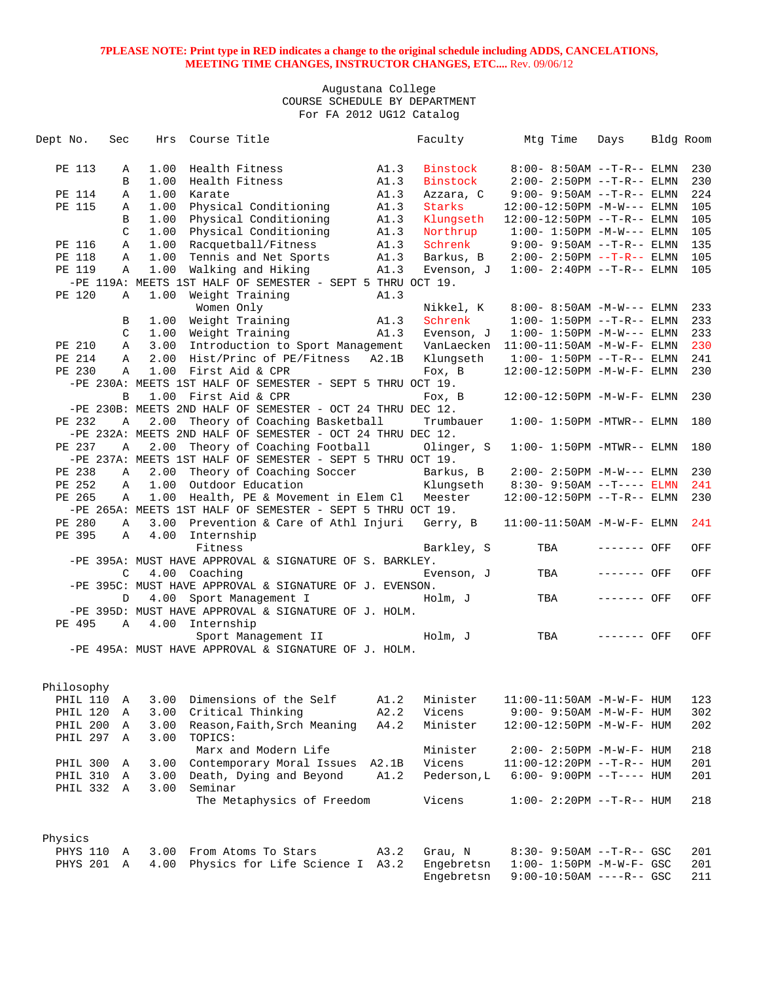| Dept No. |            | Sec           |              | Hrs Course Title         |                                                            |       | Faculty                             | Mtg Time |     | Days                              | Bldg Room |
|----------|------------|---------------|--------------|--------------------------|------------------------------------------------------------|-------|-------------------------------------|----------|-----|-----------------------------------|-----------|
|          |            |               |              |                          |                                                            |       |                                     |          |     |                                   |           |
|          | PE 113     | Α             | 1.00         |                          | Health Fitness                                             | A1.3  | Binstock                            |          |     | $8:00 - 8:50AM$ --T-R-- ELMN      | 230       |
|          |            | B             | 1.00         |                          | Health Fitness                                             | A1.3  | Binstock                            |          |     | $2:00 - 2:50PM -T-R-- ELMN$       | 230       |
|          | PE 114     | Α             | 1.00         | Karate                   |                                                            | A1.3  | Azzara, C                           |          |     | $9:00 - 9:50AM -T-R--ELMN$        | 224       |
|          | PE 115     | Α             | 1.00         |                          | Physical Conditioning                                      | A1.3  | Starks                              |          |     | $12:00-12:50PM -M-W---$ ELMN      | 105       |
|          |            | B             | 1.00         |                          | Physical Conditioning                                      | A1.3  | Klungseth                           |          |     | 12:00-12:50PM --T-R-- ELMN        | 105       |
|          |            | C             | 1.00         |                          | Physical Conditioning                                      | A1.3  | Northrup                            |          |     | $1:00-1:50PM -M-W---$ ELMN        | 105       |
|          | PE 116     | Α             | 1.00         |                          | Racquetball/Fitness                                        | A1.3  | Schrenk                             |          |     | $9:00-9:50AM -T-R--ELMN$          | 135       |
|          | PE 118     | Α             | 1.00         |                          | Tennis and Net Sports                                      | A1.3  | Barkus, B                           |          |     | $2:00 - 2:50PM -T-R-- ELMN$       | 105       |
|          | PE 119     | Α             | 1.00         |                          | Walking and Hiking                                         | A1.3  | Evenson, J                          |          |     | $1:00 - 2:40PM -T-R-- ELMN$       | 105       |
|          |            |               |              |                          | -PE 119A: MEETS 1ST HALF OF SEMESTER - SEPT 5 THRU OCT 19. |       |                                     |          |     |                                   |           |
|          | PE 120     | A             |              |                          | 1.00 Weight Training                                       | A1.3  |                                     |          |     |                                   |           |
|          |            |               |              | Women Only               |                                                            |       | Nikkel, K                           |          |     | $8:00 - 8:50AM - M-W---$ ELMN     | 233       |
|          |            | B             |              |                          | 1.00 Weight Training                                       | A1.3  | Schrenk                             |          |     | $1:00 - 1:50PM -T-R-- ELMN$       | 233       |
|          |            | C             |              |                          | 1.00 Weight Training 1.3                                   |       | Evenson, J                          |          |     | $1:00 - 1:50PM -M-W---$ ELMN      | 233       |
|          | PE 210     | Α             | 3.00         |                          | Introduction to Sport Management                           |       | VanLaecken                          |          |     | $11:00-11:50AM - M-W-F- ELMN$     | 230       |
|          | PE 214     | Α             | 2.00         |                          | Hist/Princ of PE/Fitness A2.1B                             |       | Klungseth                           |          |     | $1:00-1:50PM --T-R--ELMN$         | 241       |
|          | PE 230     | $\mathbb{A}$  |              |                          | 1.00 First Aid & CPR                                       |       | Fox, B                              |          |     | 12:00-12:50PM -M-W-F- ELMN        | 230       |
|          |            |               |              |                          | -PE 230A: MEETS 1ST HALF OF SEMESTER - SEPT 5 THRU OCT 19. |       |                                     |          |     |                                   |           |
|          |            | B             |              |                          | 1.00 First Aid & CPR                                       |       | Fox, B                              |          |     | 12:00-12:50PM -M-W-F- ELMN        | 230       |
|          |            |               |              |                          | -PE 230B: MEETS 2ND HALF OF SEMESTER - OCT 24 THRU DEC 12. |       |                                     |          |     |                                   |           |
|          | PE 232     | Α             |              |                          | 2.00 Theory of Coaching Basketball                         |       | Trumbauer                           |          |     | $1:00-1:50PM -MTWR--ELMN$         | 180       |
|          |            |               |              |                          | -PE 232A: MEETS 2ND HALF OF SEMESTER - OCT 24 THRU DEC 12. |       |                                     |          |     |                                   |           |
|          | PE 237     | Α             |              |                          | 2.00 Theory of Coaching Football                           |       | Olinger, S                          |          |     | $1:00-1:50PM -MTWR--ELMN$         | 180       |
|          |            |               |              |                          | -PE 237A: MEETS 1ST HALF OF SEMESTER - SEPT 5 THRU OCT 19. |       |                                     |          |     |                                   |           |
|          | PE 238     | Α             | 2.00         |                          | Theory of Coaching Soccer                                  |       | Barkus, B                           |          |     | $2:00 - 2:50PM -M-W---$ ELMN      | 230       |
|          | PE 252     | Α             |              |                          | 1.00 Outdoor Education                                     |       | Klungseth 8:30- 9:50AM --T---- ELMN |          |     |                                   | 241       |
|          | PE 265     | Α             | 1.00         |                          | Health, PE & Movement in Elem Cl                           |       | Meester                             |          |     | $12:00-12:50PM$ --T-R-- ELMN      | 230       |
|          |            |               |              |                          | -PE 265A: MEETS 1ST HALF OF SEMESTER - SEPT 5 THRU OCT 19. |       |                                     |          |     |                                   |           |
|          | PE 280     | Α             |              |                          | 3.00 Prevention & Care of Athl Injuri                      |       | Gerry, B                            |          |     | 11:00-11:50AM -M-W-F- ELMN        | 241       |
|          | PE 395     |               | $\mathbf{A}$ | 4.00 Internship          |                                                            |       |                                     |          |     |                                   |           |
|          |            |               |              | Fitness                  |                                                            |       | Barkley, S                          |          | TBA | ------- OFF                       | OFF       |
|          |            |               |              |                          | -PE 395A: MUST HAVE APPROVAL & SIGNATURE OF S. BARKLEY.    |       |                                     |          |     |                                   |           |
|          |            | $\mathcal{C}$ |              | 4.00 Coaching            |                                                            |       | Evenson, J                          |          | TBA | ------- OFF                       | OFF       |
|          |            |               |              |                          | -PE 395C: MUST HAVE APPROVAL & SIGNATURE OF J. EVENSON.    |       |                                     |          |     |                                   |           |
|          |            | D             |              |                          | 4.00 Sport Management I                                    |       | Holm, J                             |          | TBA | ------- OFF                       | OFF       |
|          |            |               |              |                          | -PE 395D: MUST HAVE APPROVAL & SIGNATURE OF J. HOLM.       |       |                                     |          |     |                                   |           |
|          |            |               |              | PE 495 A 4.00 Internship |                                                            |       |                                     |          |     |                                   |           |
|          |            |               |              |                          | Sport Management II                                        |       | Holm, J                             |          | TBA | ------- OFF                       | OFF       |
|          |            |               |              |                          | -PE 495A: MUST HAVE APPROVAL & SIGNATURE OF J. HOLM.       |       |                                     |          |     |                                   |           |
|          |            |               |              |                          |                                                            |       |                                     |          |     |                                   |           |
|          |            |               |              |                          |                                                            |       |                                     |          |     |                                   |           |
|          | Philosophy |               |              |                          |                                                            |       |                                     |          |     |                                   |           |
|          | PHIL 110   | Α             | 3.00         |                          | Dimensions of the Self                                     | A1.2  | Minister                            |          |     | 11:00-11:50AM -M-W-F- HUM         | 123       |
|          | PHIL 120   | Α             | 3.00         |                          | Critical Thinking                                          | A2.2  | Vicens                              |          |     | 9:00- 9:50AM -M-W-F- HUM          | 302       |
|          | PHIL 200   | Α             | 3.00         |                          | Reason, Faith, Srch Meaning                                | A4.2  | Minister                            |          |     | 12:00-12:50PM -M-W-F- HUM         | 202       |
|          | PHIL 297   | Α             | 3.00         | TOPICS:                  |                                                            |       |                                     |          |     |                                   |           |
|          |            |               |              |                          | Marx and Modern Life                                       |       | Minister                            |          |     | 2:00- 2:50PM -M-W-F- HUM          | 218       |
|          | PHIL 300   | Α             | 3.00         |                          | Contemporary Moral Issues                                  | A2.1B | Vicens                              |          |     | $11:00-12:20PM$ --T-R-- HUM       | 201       |
|          | PHIL 310   | Α             | 3.00         |                          | Death, Dying and Beyond                                    | A1.2  | Pederson, L                         |          |     | $6:00-9:00PM --T---HUM$           | 201       |
|          | PHIL 332   | A             | 3.00         | Seminar                  |                                                            |       |                                     |          |     |                                   |           |
|          |            |               |              |                          | The Metaphysics of Freedom                                 |       | Vicens                              |          |     | $1:00 - 2:20PM -T-R-- HUM$        | 218       |
|          |            |               |              |                          |                                                            |       |                                     |          |     |                                   |           |
| Physics  |            |               |              |                          |                                                            |       |                                     |          |     |                                   |           |
|          | PHYS 110   | Α             | 3.00         |                          | From Atoms To Stars                                        | A3.2  | Grau, N                             |          |     | 8:30- 9:50AM --T-R-- GSC          | 201       |
|          | PHYS 201 A |               | 4.00         |                          | Physics for Life Science I A3.2                            |       | Engebretsn                          |          |     | $1:00 - 1:50PM - M - W - F - GSC$ | 201       |
|          |            |               |              |                          |                                                            |       | Engebretsn                          |          |     | $9:00-10:50AM$ ----R-- GSC        | 211       |
|          |            |               |              |                          |                                                            |       |                                     |          |     |                                   |           |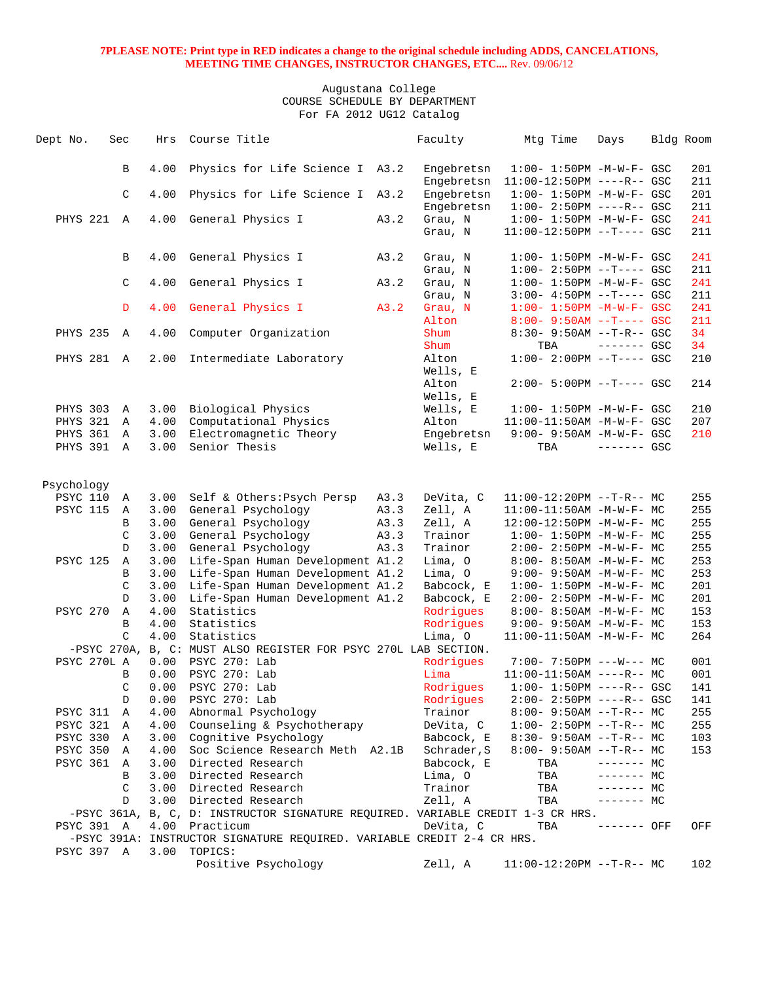| Dept No.                           | Sec |               | Hrs          | Course Title                                                                      |      | Faculty                  | Mtg Time                                                         | Days         | Bldg Room  |
|------------------------------------|-----|---------------|--------------|-----------------------------------------------------------------------------------|------|--------------------------|------------------------------------------------------------------|--------------|------------|
|                                    |     |               |              |                                                                                   |      |                          |                                                                  |              |            |
|                                    |     | B             | 4.00         | Physics for Life Science I A3.2                                                   |      | Engebretsn               | $1:00 - 1:50PM -M-W-F - GSC$                                     |              | 201        |
|                                    |     | C             | 4.00         |                                                                                   |      | Engebretsn               | 11:00-12:50PM ----R-- GSC                                        |              | 211<br>201 |
|                                    |     |               |              | Physics for Life Science I A3.2                                                   |      | Engebretsn<br>Engebretsn | $1:00 - 1:50PM - M - W - F - GSC$<br>$1:00 - 2:50PM$ ----R-- GSC |              | 211        |
| PHYS 221 A                         |     |               | 4.00         | General Physics I                                                                 | A3.2 | Grau, N                  | $1:00 - 1:50PM -M-W-F - GSC$                                     |              | 241        |
|                                    |     |               |              |                                                                                   |      | Grau, N                  | $11:00-12:50PM$ --T---- GSC                                      |              | 211        |
|                                    |     |               |              |                                                                                   |      |                          |                                                                  |              |            |
|                                    |     | B             | 4.00         | General Physics I                                                                 | A3.2 | Grau, N                  | $1:00 - 1:50PM - M - W - F - GSC$                                |              | 241        |
|                                    |     |               |              |                                                                                   |      | Grau, N                  | $1:00-2:50PM -T---GSC$                                           |              | 211        |
|                                    |     | $\mathsf C$   | 4.00         | General Physics I                                                                 | A3.2 | Grau, N                  | $1:00 - 1:50PM - M - W - F - GSC$                                |              | 241        |
|                                    |     |               |              |                                                                                   |      | Grau, N                  | $3:00-4:50PM --T---GSC$                                          |              | 211        |
|                                    |     | D             | 4.00         | General Physics I                                                                 | A3.2 | Grau, N                  | $1:00 - 1:50PM - M - W - F - GSC$                                |              | 241        |
| <b>PHYS 235</b>                    |     |               | 4.00         |                                                                                   |      | Alton<br>Shum            | $8:00 - 9:50AM -T--- GSC$                                        |              | 211<br>34  |
|                                    |     | A             |              | Computer Organization                                                             |      | Shum                     | $8:30 - 9:50AM -T-R--GSC$<br>TBA                                 | $------$ GSC | 34         |
| PHYS 281 A                         |     |               | 2.00         | Intermediate Laboratory                                                           |      | Alton                    | $1:00-2:00PM$ --T---- GSC                                        |              | 210        |
|                                    |     |               |              |                                                                                   |      | Wells, E                 |                                                                  |              |            |
|                                    |     |               |              |                                                                                   |      | Alton                    | $2:00 - 5:00PM -T--- GSC$                                        |              | 214        |
|                                    |     |               |              |                                                                                   |      | Wells, E                 |                                                                  |              |            |
| PHYS 303 A                         |     |               | 3.00         | Biological Physics                                                                |      | Wells, E                 | $1:00 - 1:50PM - M - W - F - GSC$                                |              | 210        |
| PHYS 321 A                         |     |               | 4.00         | Computational Physics                                                             |      | Alton                    | $11:00-11:50AM$ -M-W-F- GSC                                      |              | 207        |
| PHYS 361 A                         |     |               | 3.00         | Electromagnetic Theory                                                            |      | Engebretsn               | $9:00 - 9:50AM -M-W-F - GSC$                                     |              | 210        |
| PHYS 391 A                         |     |               | 3.00         | Senior Thesis                                                                     |      | Wells, E                 | TBA                                                              | $------$ GSC |            |
|                                    |     |               |              |                                                                                   |      |                          |                                                                  |              |            |
| Psychology                         |     |               |              |                                                                                   |      |                          |                                                                  |              |            |
| <b>PSYC 110</b>                    |     | A             | 3.00         | Self & Others: Psych Persp                                                        | A3.3 | DeVita, C                | $11:00-12:20PM$ --T-R-- MC                                       |              | 255        |
| <b>PSYC 115</b>                    |     | Α             | 3.00         | General Psychology                                                                | A3.3 | Zell, A                  | $11:00-11:50AM$ -M-W-F- MC                                       |              | 255        |
|                                    |     | B             | 3.00         | General Psychology                                                                | A3.3 | Zell, A                  | 12:00-12:50PM -M-W-F- MC                                         |              | 255        |
|                                    |     | C             | 3.00         | General Psychology                                                                | A3.3 | Trainor                  | $1:00 - 1:50PM - M - W - F - MC$                                 |              | 255        |
|                                    |     | D             | 3.00         | General Psychology                                                                | A3.3 | Trainor                  | $2:00-2:50PM -M-W-F-MC$                                          |              | 255        |
| <b>PSYC 125</b>                    |     | Α             | 3.00         | Life-Span Human Development A1.2                                                  |      | Lima, O                  | 8:00- 8:50AM -M-W-F- MC                                          |              | 253        |
|                                    |     | B<br>C        | 3.00<br>3.00 | Life-Span Human Development A1.2                                                  |      | Lima, O                  | $9:00 - 9:50AM - M - W - F - MC$                                 |              | 253<br>201 |
|                                    |     | D             | 3.00         | Life-Span Human Development A1.2<br>Life-Span Human Development A1.2              |      | Babcock, E<br>Babcock, E | $1:00 - 1:50PM - M - W - F - MC$<br>$2:00 - 2:50PM -M-W-F - MC$  |              | 201        |
| <b>PSYC 270</b>                    |     | Α             | 4.00         | Statistics                                                                        |      | Rodrigues                | $8:00 - 8:50AM - M - W - F - MC$                                 |              | 153        |
|                                    |     | B             | 4.00         | Statistics                                                                        |      | Rodriques                | $9:00 - 9:50AM - M - W - F - MC$                                 |              | 153        |
|                                    |     | $\mathcal{C}$ | 4.00         | Statistics                                                                        |      | Lima, O                  | $11:00-11:50AM$ -M-W-F- MC                                       |              | 264        |
|                                    |     |               |              | -PSYC 270A, B, C: MUST ALSO REGISTER FOR PSYC 270L LAB SECTION.                   |      |                          |                                                                  |              |            |
| PSYC 270L A                        |     |               | 0.00         | PSYC 270: Lab                                                                     |      | Rodrigues                | $7:00 - 7:50PM$ ---W--- MC                                       |              | 001        |
|                                    |     | B             | 0.00         | PSYC 270: Lab                                                                     |      | Lima                     | $11:00-11:50AM$ ----R-- MC                                       |              | 001        |
|                                    |     | C             | 0.00         | PSYC 270: Lab                                                                     |      | Rodrigues                | $1:00 - 1:50PM$ ----R-- GSC                                      |              | 141        |
|                                    |     | D             | 0.00         | PSYC 270: Lab                                                                     |      | Rodrigues<br>Trainor     | $2:00-2:50PM$ ----R-- GSC                                        |              | 141        |
| <b>PSYC 311</b><br><b>PSYC 321</b> |     | Α<br>Α        | 4.00<br>4.00 | Abnormal Psychology<br>Counseling & Psychotherapy                                 |      | DeVita, C                | $8:00 - 9:50AM -T-R-- MC$<br>$1:00-2:50PM -T-R--MC$              |              | 255<br>255 |
| PSYC 330                           |     | Α             | 3.00         | Cognitive Psychology                                                              |      | Babcock, E               | $8:30 - 9:50AM -T-R-- MC$                                        |              | 103        |
| <b>PSYC 350</b>                    |     | Α             | 4.00         | Soc Science Research Meth A2.1B                                                   |      | Schrader, S              | $8:00 - 9:50AM -T-R-- MC$                                        |              | 153        |
| <b>PSYC 361</b>                    |     | Α             | 3.00         | Directed Research                                                                 |      | Babcock, E               | TBA                                                              | $------MC$   |            |
|                                    |     | B             | 3.00         | Directed Research                                                                 |      | Lima, O                  | TBA                                                              | $------$ MC  |            |
|                                    |     | C             | 3.00         | Directed Research                                                                 |      | Trainor                  | TBA                                                              | ------- MC   |            |
|                                    |     | D             | 3.00         | Directed Research                                                                 |      | Zell, A                  | TBA                                                              | $------$ MC  |            |
|                                    |     |               |              | -PSYC 361A, B, C, D: INSTRUCTOR SIGNATURE REQUIRED. VARIABLE CREDIT 1-3 CR HRS.   |      |                          |                                                                  |              |            |
| PSYC 391 A                         |     |               | 4.00         | Practicum                                                                         |      | DeVita, C                | TBA                                                              | ------- OFF  | OFF        |
|                                    |     |               |              | -PSYC 391A: INSTRUCTOR SIGNATURE REQUIRED. VARIABLE CREDIT 2-4 CR HRS.<br>TOPICS: |      |                          |                                                                  |              |            |
| PSYC 397 A                         |     |               | 3.00         | Positive Psychology                                                               |      | Zell, A                  | $11:00-12:20PM$ --T-R-- MC                                       |              | 102        |
|                                    |     |               |              |                                                                                   |      |                          |                                                                  |              |            |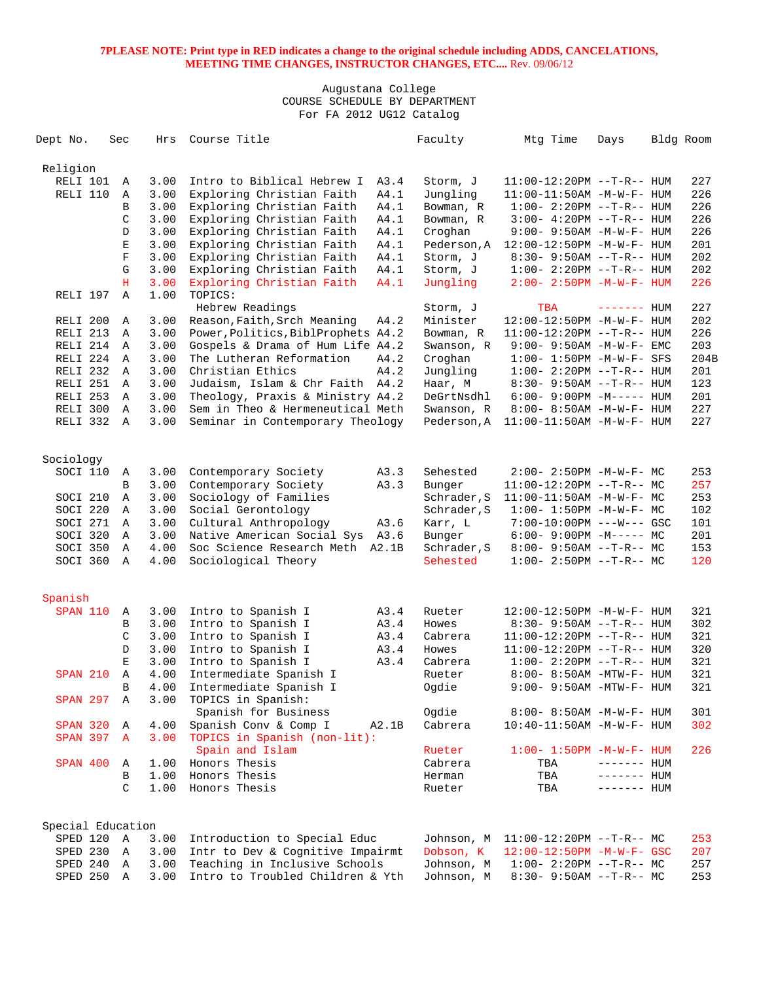| Dept No.                        | Sec          | Hrs          | Course Title                                                      | Faculty                 | Mtg Time                                            | Days        | Bldg Room  |
|---------------------------------|--------------|--------------|-------------------------------------------------------------------|-------------------------|-----------------------------------------------------|-------------|------------|
| Religion                        |              |              |                                                                   |                         |                                                     |             |            |
| RELI 101                        | Α            | 3.00         | Intro to Biblical Hebrew I<br>A3.4                                | Storm, J                | $11:00-12:20PM$ --T-R-- HUM                         |             | 227        |
| RELI 110                        | Α            | 3.00         | Exploring Christian Faith<br>A4.1                                 | Jungling                | $11:00-11:50AM$ -M-W-F- HUM                         |             | 226        |
|                                 | B            | 3.00         | Exploring Christian Faith<br>A4.1                                 | Bowman, R               | $1:00-2:20PM -T-R--HUM$                             |             | 226        |
|                                 | C            | 3.00         | Exploring Christian Faith<br>A4.1                                 | Bowman, R               | $3:00-4:20PM -T-R--HUM$                             |             | 226        |
|                                 | D            | 3.00         | Exploring Christian Faith<br>A4.1                                 | Croghan                 | $9:00 - 9:50AM - M - W - F - HUM$                   |             | 226        |
|                                 | Ε            | 3.00         | Exploring Christian Faith<br>A4.1                                 | Pederson, A             | 12:00-12:50PM -M-W-F- HUM                           |             | 201        |
|                                 | $\mathbf F$  | 3.00         | Exploring Christian Faith<br>A4.1                                 | Storm, J                | $8:30 - 9:50AM -T-R-- HUM$                          |             | 202        |
|                                 | G            | 3.00         | Exploring Christian Faith<br>A4.1                                 | Storm, J                | $1:00 - 2:20PM -T-R--HUM$                           |             | 202        |
|                                 | H            | 3.00         | Exploring Christian Faith<br>A4.1                                 | Jungling                | $2:00 - 2:50PM - M - W - F - HUM$                   |             | 226        |
| RELI 197                        | $\mathbb{A}$ | 1.00         | TOPICS:                                                           |                         |                                                     |             |            |
|                                 |              |              | Hebrew Readings                                                   | Storm, J                | TBA                                                 | ------- HUM | 227        |
| RELI 200                        | Α            | 3.00         | Reason, Faith, Srch Meaning<br>A4.2                               | Minister                | 12:00-12:50PM -M-W-F- HUM                           |             | 202        |
| RELI 213                        | A            | 3.00         | Power, Politics, BiblProphets A4.2                                | Bowman, R               | $11:00-12:20PM$ --T-R-- HUM                         |             | 226        |
| RELI 214                        | $\mathbb A$  | 3.00         | Gospels & Drama of Hum Life A4.2                                  | Swanson, R              | $9:00 - 9:50AM - M - W - F - EMC$                   |             | 203        |
| RELI 224                        | A            | 3.00         | The Lutheran Reformation<br>A4.2                                  | Croghan                 | $1:00 - 1:50PM - M - W - F - SFS$                   |             | 204B       |
| RELI 232                        | A            | 3.00         | Christian Ethics<br>A4.2                                          | Jungling                | $1:00 - 2:20PM -T-R--HUM$                           |             | 201        |
| RELI 251                        | Α            | 3.00         | Judaism, Islam & Chr Faith A4.2                                   | Haar, M                 | $8:30 - 9:50AM -T-R-- HUM$                          |             | 123        |
| RELI 253                        | Α            | 3.00         | Theology, Praxis & Ministry A4.2                                  | DeGrtNsdhl              | $6:00 - 9:00PM -M-----$ HUM                         |             | 201        |
| RELI 300                        | $\mathbf{A}$ | 3.00         | Sem in Theo & Hermeneutical Meth                                  | Swanson, R              | 8:00- 8:50AM -M-W-F- HUM                            |             | 227        |
| RELI 332                        | A            | 3.00         | Seminar in Contemporary Theology                                  | Pederson, A             | $11:00-11:50AM$ -M-W-F- HUM                         |             | 227        |
|                                 |              |              |                                                                   |                         |                                                     |             |            |
| Sociology                       |              |              |                                                                   |                         |                                                     |             |            |
| SOCI 110                        | Α            | 3.00         | Contemporary Society<br>A3.3                                      | Sehested                | $2:00-2:50PM -M-W-F-MC$                             |             | 253        |
|                                 | B            | 3.00         | Contemporary Society<br>A3.3                                      | Bunger                  | $11:00-12:20PM --T-R-- MC$                          |             | 257        |
| SOCI 210                        | Α            | 3.00         | Sociology of Families                                             | Schrader, S             | $11:00-11:50AM$ -M-W-F- MC                          |             | 253        |
| SOCI 220                        | Α            | 3.00         | Social Gerontology                                                | Schrader, S             | $1:00 - 1:50PM - M - W - F - MC$                    |             | 102        |
| SOCI 271                        | A            | 3.00         | Cultural Anthropology<br>A3.6                                     | Karr, L                 | 7:00-10:00PM ---W--- GSC                            |             | 101        |
| SOCI 320                        | Α            | 3.00         | Native American Social Sys<br>A3.6                                | Bunger                  | $6:00-9:00PM -M--- MC$                              |             | 201        |
| SOCI 350                        | Α            | 4.00         | Soc Science Research Meth<br>A2.1B                                | Schrader, S             | $8:00 - 9:50AM -T-R-- MC$                           |             | 153        |
| SOCI 360                        | A            | 4.00         | Sociological Theory                                               | Sehested                | $1:00-2:50PM -T-R--MC$                              |             | 120        |
|                                 |              |              |                                                                   |                         |                                                     |             |            |
| Spanish                         |              |              |                                                                   |                         |                                                     |             |            |
| <b>SPAN 110</b>                 | Α            | 3.00         | Intro to Spanish I<br>A3.4                                        | Rueter                  | 12:00-12:50PM -M-W-F- HUM                           |             | 321        |
|                                 | В            | 3.00         | Intro to Spanish I<br>A3.4                                        | Howes                   | $8:30 - 9:50AM -T-R-- HUM$                          |             | 302        |
|                                 | C            | 3.00         | Intro to Spanish I<br>A3.4                                        | Cabrera                 | $11:00-12:20PM$ --T-R-- HUM                         |             | 321        |
|                                 | D            | 3.00         | Intro to Spanish I<br>A3.4                                        | Howes                   | $11:00-12:20PM$ --T-R-- HUM                         |             | 320        |
|                                 | E            | 3.00         | Intro to Spanish I<br>A3.4                                        | Cabrera                 | $1:00 - 2:20PM -T-R--HUM$                           |             | 321        |
| <b>SPAN 210</b>                 | Α            | 4.00         | Intermediate Spanish I                                            | Rueter                  | 8:00- 8:50AM -MTW-F- HUM                            |             | 321        |
|                                 | B            | 4.00         | Intermediate Spanish I                                            | Ogdie                   | 9:00- 9:50AM -MTW-F- HUM                            |             | 321        |
| <b>SPAN 297</b>                 | Α            | 3.00         | TOPICS in Spanish:                                                |                         |                                                     |             |            |
|                                 |              |              | Spanish for Business                                              | Ogdie                   | $8:00 - 8:50AM - M - W - F - HUM$                   |             | 301        |
| SPAN 320                        | Α            | 4.00         | Spanish Conv & Comp I<br>A2.1B                                    | Cabrera                 | $10:40 - 11:50AM$ -M-W-F- HUM                       |             | 302        |
| <b>SPAN 397</b>                 | A            | 3.00         | TOPICS in Spanish (non-lit):                                      |                         |                                                     |             |            |
|                                 |              |              | Spain and Islam                                                   | Rueter                  | $1:00 - 1:50PM - M - W - F - HUM$                   |             | 226        |
| SPAN 400                        | Α            | 1.00         | Honors Thesis                                                     | Cabrera                 | TBA                                                 | ------- HUM |            |
|                                 | B            | 1.00         | Honors Thesis                                                     | Herman                  | TBA                                                 | ------- HUM |            |
|                                 | C            | 1.00         | Honors Thesis                                                     | Rueter                  | TBA                                                 | ------- HUM |            |
|                                 |              |              |                                                                   |                         |                                                     |             |            |
| Special Education<br>SPED 120 A |              |              | Introduction to Special Educ                                      |                         |                                                     |             |            |
|                                 | Α            | 3.00<br>3.00 |                                                                   | Johnson, M<br>Dobson, K | $11:00-12:20PM$ --T-R-- MC                          |             | 253        |
| SPED 230<br>SPED 240            | A            | 3.00         | Intr to Dev & Cognitive Impairmt<br>Teaching in Inclusive Schools | Johnson, M              | 12:00-12:50PM -M-W-F- GSC<br>$1:00-2:20PM -T-R--MC$ |             | 207<br>257 |
| SPED 250 A                      |              | 3.00         | Intro to Troubled Children & Yth                                  | Johnson, M              |                                                     |             | 253        |
|                                 |              |              |                                                                   |                         | $8:30 - 9:50AM -T-R-- MC$                           |             |            |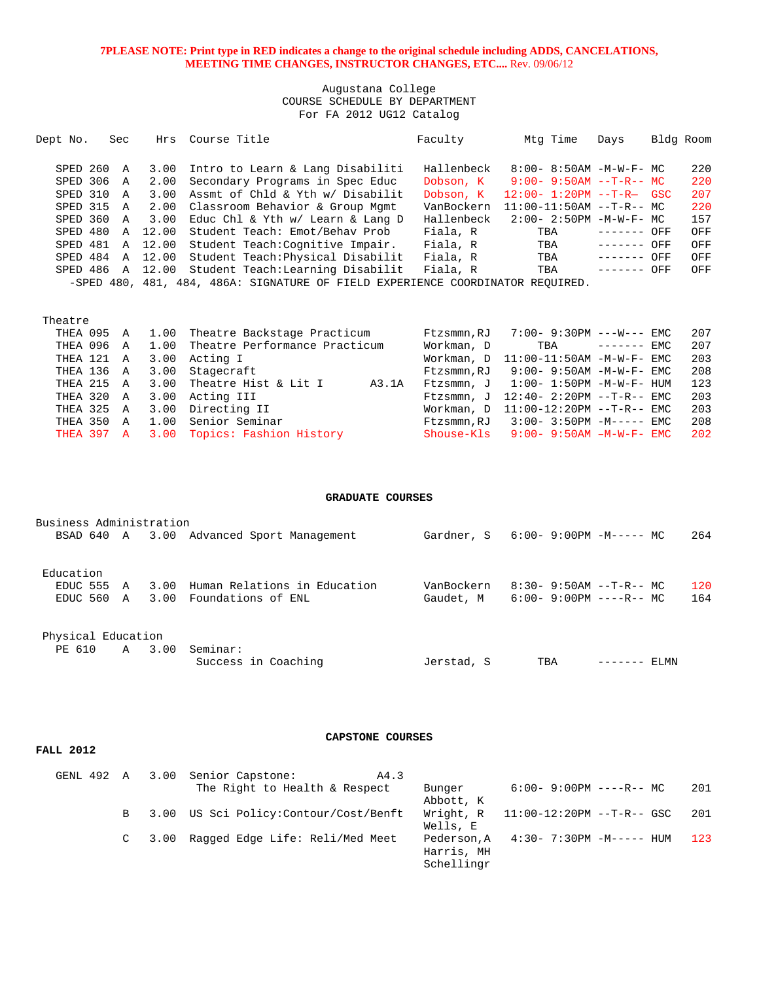### Augustana College COURSE SCHEDULE BY DEPARTMENT For FA 2012 UG12 Catalog

| Dept No.   | Sec |                  | Hrs Course Title                                                               | Faculty    | Mtg Time                         | Days              |     | Bldg Room |
|------------|-----|------------------|--------------------------------------------------------------------------------|------------|----------------------------------|-------------------|-----|-----------|
|            |     |                  |                                                                                |            |                                  |                   |     |           |
| SPED 260 A |     | 3.00             | Intro to Learn & Lang Disabiliti                                               | Hallenbeck | $8:00 - 8:50AM - M - W - F - MC$ |                   |     | 220       |
| SPED 306 A |     | 2.00             | Secondary Programs in Spec Educ                                                | Dobson, K  | $9:00 - 9:50AM -T-R--MC$         |                   |     | 220       |
| SPED 310 A |     |                  | 3.00 Assmt of Chld & Yth w/ Disabilit                                          | Dobson, K  | $12:00 - 1:20PM -T-R - GSC$      |                   |     | 207       |
| SPED 315 A |     |                  | 2.00 Classroom Behavior & Group Mgmt                                           | VanBockern | $11:00-11:50AM$ --T-R-- MC       |                   |     | 220       |
| SPED 360 A |     | 3.00             | Educ Chl & Yth w/ Learn & Lang D                                               | Hallenbeck | $2:00 - 2:50PM - M - W - F - MC$ |                   |     | 157       |
|            |     | SPED 480 A 12.00 | Student Teach: Emot/Behav Prob                                                 | Fiala, R   | TBA                              | --------          | OFF | OFF       |
|            |     | SPED 481 A 12.00 | Student Teach: Cognitive Impair.                                               | Fiala, R   | TBA                              | $- - - - - - - -$ | OFF | OFF       |
|            |     | SPED 484 A 12.00 | Student Teach: Physical Disabilit                                              | Fiala, R   | TBA                              | --------          | OFF | OFF       |
|            |     | SPED 486 A 12.00 | Student Teach: Learning Disabilit                                              | Fiala, R   | TBA                              | --------          | OFF | OFF       |
|            |     |                  | -SPED 480, 481, 484, 486A: SIGNATURE OF FIELD EXPERIENCE COORDINATOR REOUIRED. |            |                                  |                   |     |           |

Theatre

|  | THEA 095 A 1.00 Theatre Backstage Practicum   |       | Ftzsmmn,RJ | 7:00- 9:30PM ---W--- EMC                  |  | 207 |
|--|-----------------------------------------------|-------|------------|-------------------------------------------|--|-----|
|  | THEA 096 A 1.00 Theatre Performance Practicum |       | Workman, D | $TBA$ $---EMC$                            |  | 207 |
|  | THEA 121 A 3.00 Acting I                      |       |            | Workman, $D = 11:00-11:50AM -M-W-F-EMC$   |  | 203 |
|  | THEA 136 A 3.00 Stagecraft                    |       |            | $F$ tzsmmn.RJ 9:00-9:50AM -M-W-F-EMC      |  | 208 |
|  | THEA 215 A 3.00 Theatre Hist & Lit I          | A3.1A |            | Ftzsmmn, $J = 1:00 - 1:50PM -M-W-F - HUM$ |  | 123 |
|  | THEA 320 A 3.00 Acting III                    |       |            | Ftzsmmn, J $12:40-2:20PM --T-R--EMC$      |  | 203 |
|  | THEA 325 A 3.00 Directing II                  |       |            | Workman, $D = 11:00-12:20PM -T-R--EMC$    |  | 203 |
|  | THEA 350 A 1.00 Senior Seminar                |       |            | $F$ tzsmmn.RJ $3:00-3:50$ PM $-M---$ EMC  |  | 208 |
|  | THEA 397 A 3.00 Topics: Fashion History       |       |            | Shouse-Kls $9:00-9:50AM -M-W-F-EMC$       |  | 202 |

#### **GRADUATE COURSES**

| Business Administration<br>BSAD 640 A 3.00 |   |              | Advanced Sport Management                          | Gardner, S              | 6:00- 9:00PM -M----- MC                                |         |      | 264        |
|--------------------------------------------|---|--------------|----------------------------------------------------|-------------------------|--------------------------------------------------------|---------|------|------------|
| Education<br>EDUC 555<br>EDUC 560 A        | A | 3.00<br>3.00 | Human Relations in Education<br>Foundations of ENL | VanBockern<br>Gaudet, M | $8:30 - 9:50AM -T-R - M$<br>$6:00 - 9:00PM$ ----R-- MC |         |      | 120<br>164 |
| Physical Education<br>PE 610               | A | 3.00         | Seminar:<br>Success in Coaching                    | Jerstad, S              | TBA                                                    | ------- | ELMN |            |

**FALL 2012** 

# **CAPSTONE COURSES**

|  | GENL 492 A 3.00 Senior Capstone:<br>A4.3 |            |                                       |      |
|--|------------------------------------------|------------|---------------------------------------|------|
|  | The Right to Health & Respect            | Bunger     | $6:00-9:00PM$ ----R-- MC              | -201 |
|  |                                          | Abbott, K  |                                       |      |
|  | B 3.00 US Sci Policy: Contour/Cost/Benft |            | Wright, $R = 11:00-12:20PM -T-R--GSC$ | 201  |
|  |                                          | Wells, E   |                                       |      |
|  | C 3.00 Ragged Edge Life: Reli/Med Meet   |            | Pederson, A $4:30-7:30PM -M--- HUM$   | 123  |
|  |                                          | Harris, MH |                                       |      |
|  |                                          | Schellingr |                                       |      |